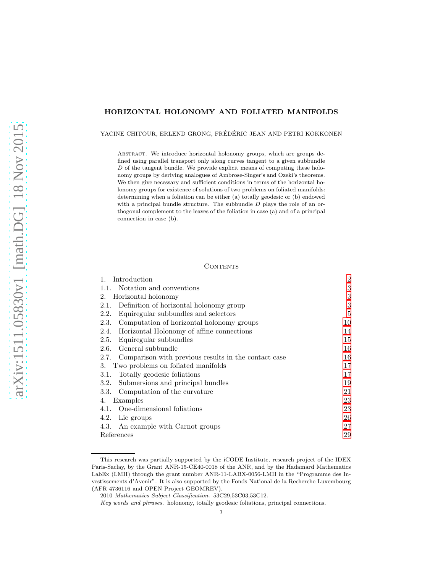# HORIZONTAL HOLONOMY AND FOLIATED MANIFOLDS

YACINE CHITOUR, ERLEND GRONG, FRÉDÉRIC JEAN AND PETRI KOKKONEN

Abstract. We introduce horizontal holonomy groups, which are groups defined using parallel transport only along curves tangent to a given subbundle  $D$  of the tangent bundle. We provide explicit means of computing these holonomy groups by deriving analogues of Ambrose-Singer's and Ozeki's theorems. We then give necessary and sufficient conditions in terms of the horizontal holonomy groups for existence of solutions of two problems on foliated manifolds: determining when a foliation can be either (a) totally geodesic or (b) endowed with a principal bundle structure. The subbundle  $D$  plays the role of an orthogonal complement to the leaves of the foliation in case (a) and of a principal connection in case (b).

# CONTENTS

| Introduction                                              | 2  |
|-----------------------------------------------------------|----|
| Notation and conventions<br>1.1.                          | 3  |
| Horizontal holonomy<br>2.                                 | 3  |
| Definition of horizontal holonomy group<br>2.1.           | 3  |
| Equiregular subbundles and selectors<br>2.2.              | 5  |
| Computation of horizontal holonomy groups<br>2.3.         | 10 |
| Horizontal Holonomy of affine connections<br>2.4.         | 14 |
| Equiregular subbundles<br>2.5.                            | 15 |
| General subbundle<br>2.6.                                 | 16 |
| 2.7. Comparison with previous results in the contact case | 16 |
| Two problems on foliated manifolds<br>3.                  | 17 |
| Totally geodesic foliations<br>3.1.                       | 17 |
| Submersions and principal bundles<br>3.2.                 | 19 |
| Computation of the curvature<br>3.3.                      | 21 |
| Examples<br>4.                                            | 23 |
| One-dimensional foliations<br>4.1.                        | 23 |
| 4.2.<br>Lie groups                                        | 26 |
| An example with Carnot groups<br>4.3.                     | 27 |
| References                                                | 29 |

This research was partially supported by the iCODE Institute, research project of the IDEX Paris-Saclay, by the Grant ANR-15-CE40-0018 of the ANR, and by the Hadamard Mathematics LabEx (LMH) through the grant number ANR-11-LABX-0056-LMH in the "Programme des Investissements d'Avenir". It is also supported by the Fonds National de la Recherche Luxembourg (AFR 4736116 and OPEN Project GEOMREV).

<sup>2010</sup> Mathematics Subject Classification. 53C29,53C03,53C12.

Key words and phrases. holonomy, totally geodesic foliations, principal connections.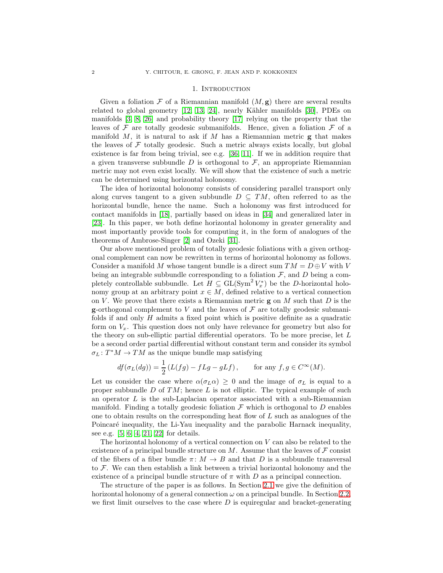## 1. INTRODUCTION

<span id="page-1-0"></span>Given a foliation  $\mathcal F$  of a Riemannian manifold  $(M, g)$  there are several results related to global geometry  $[12, 13, 24]$  $[12, 13, 24]$  $[12, 13, 24]$ , nearly Kähler manifolds  $[30]$ , PDEs on manifolds [\[3,](#page-28-3) [8,](#page-28-4) [26\]](#page-29-2) and probability theory [\[17\]](#page-28-5) relying on the property that the leaves of  $\mathcal F$  are totally geodesic submanifolds. Hence, given a foliation  $\mathcal F$  of a manifold  $M$ , it is natural to ask if  $M$  has a Riemannian metric  $g$  that makes the leaves of  $\mathcal F$  totally geodesic. Such a metric always exists locally, but global existence is far from being trivial, see e.g. [\[36,](#page-29-3) [11\]](#page-28-6). If we in addition require that a given transverse subbundle  $D$  is orthogonal to  $\mathcal{F}$ , an appropriate Riemannian metric may not even exist locally. We will show that the existence of such a metric can be determined using horizontal holonomy.

The idea of horizontal holonomy consists of considering parallel transport only along curves tangent to a given subbundle  $D \subseteq TM$ , often referred to as the horizontal bundle, hence the name. Such a holonomy was first introduced for contact manifolds in [\[18\]](#page-28-7), partially based on ideas in [\[34\]](#page-29-4) and generalized later in [\[23\]](#page-28-8). In this paper, we both define horizontal holonomy in greater generality and most importantly provide tools for computing it, in the form of analogues of the theorems of Ambrose-Singer [\[2\]](#page-28-9) and Ozeki [\[31\]](#page-29-5).

Our above mentioned problem of totally geodesic foliations with a given orthogonal complement can now be rewritten in terms of horizontal holonomy as follows. Consider a manifold M whose tangent bundle is a direct sum  $TM = D \oplus V$  with V being an integrable subbundle corresponding to a foliation  $\mathcal{F}$ , and  $D$  being a completely controllable subbundle. Let  $H \subseteq GL(Sym^2 V_x^*)$  be the D-horizontal holonomy group at an arbitrary point  $x \in M$ , defined relative to a vertical connection on V. We prove that there exists a Riemannian metric  $\bf{g}$  on M such that D is the **g**-orthogonal complement to V and the leaves of  $\mathcal F$  are totally geodesic submanifolds if and only  $H$  admits a fixed point which is positive definite as a quadratic form on  $V_x$ . This question does not only have relevance for geometry but also for the theory on sub-elliptic partial differential operators. To be more precise, let L be a second order partial differential without constant term and consider its symbol  $\sigma_L: T^*M \to TM$  as the unique bundle map satisfying

$$
df(\sigma_L(dg)) = \frac{1}{2} (L(fg) - fLg - gLf), \quad \text{for any } f, g \in C^{\infty}(M).
$$

Let us consider the case where  $\alpha(\sigma_L \alpha) \geq 0$  and the image of  $\sigma_L$  is equal to a proper subbundle  $D$  of  $TM$ ; hence  $L$  is not elliptic. The typical example of such an operator  $L$  is the sub-Laplacian operator associated with a sub-Riemannian manifold. Finding a totally geodesic foliation  $\mathcal F$  which is orthogonal to  $D$  enables one to obtain results on the corresponding heat flow of  $L$  such as analogues of the Poincaré inequality, the Li-Yau inequality and the parabolic Harnack inequality, see e.g. [\[5,](#page-28-10) [6,](#page-28-11) [4,](#page-28-12) [21,](#page-28-13) [22\]](#page-28-14) for details.

The horizontal holonomy of a vertical connection on  $V$  can also be related to the existence of a principal bundle structure on M. Assume that the leaves of  $\mathcal F$  consist of the fibers of a fiber bundle  $\pi \colon M \to B$  and that D is a subbundle transversal to  $\mathcal F$ . We can then establish a link between a trivial horizontal holonomy and the existence of a principal bundle structure of  $\pi$  with D as a principal connection.

The structure of the paper is as follows. In Section [2.1](#page-2-2) we give the definition of horizontal holonomy of a general connection  $\omega$  on a principal bundle. In Section [2.2,](#page-4-0) we first limit ourselves to the case where  $D$  is equiregular and bracket-generating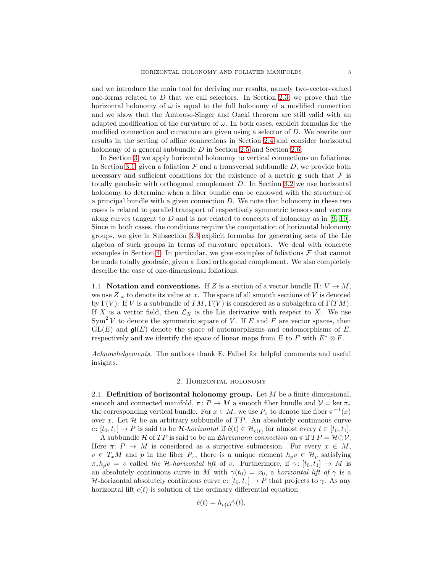and we introduce the main tool for deriving our results, namely two-vector-valued one-forms related to  $D$  that we call selectors. In Section [2.3,](#page-9-0) we prove that the horizontal holonomy of  $\omega$  is equal to the full holonomy of a modified connection and we show that the Ambrose-Singer and Ozeki theorem are still valid with an adapted modification of the curvature of  $\omega$ . In both cases, explicit formulas for the modified connection and curvature are given using a selector of D. We rewrite our results in the setting of affine connections in Section [2.4](#page-13-0) and consider horizontal holonomy of a general subbundle D in Section [2.5](#page-14-0) and Section [2.6.](#page-15-0)

In Section [3,](#page-16-0) we apply horizontal holonomy to vertical connections on foliations. In Section [3.1,](#page-16-1) given a foliation  $\mathcal F$  and a transversal subbundle  $D$ , we provide both necessary and sufficient conditions for the existence of a metric  $\bf{g}$  such that  $\bf{\cal{F}}$  is totally geodesic with orthogonal complement D. In Section [3.2](#page-18-0) we use horizontal holonomy to determine when a fiber bundle can be endowed with the structure of a principal bundle with a given connection D. We note that holonomy in these two cases is related to parallel transport of respectively symmetric tensors and vectors along curves tangent to  $D$  and is not related to concepts of holonomy as in [\[9,](#page-28-15) [10\]](#page-28-16). Since in both cases, the conditions require the computation of horizontal holonomy groups, we give in Subsection [3.3](#page-20-0) explicit formulas for generating sets of the Lie algebra of such groups in terms of curvature operators. We deal with concrete examples in Section [4.](#page-22-0) In particular, we give examples of foliations  $\mathcal F$  that cannot be made totally geodesic, given a fixed orthogonal complement. We also completely describe the case of one-dimensional foliations.

<span id="page-2-0"></span>1.1. Notation and conventions. If Z is a section of a vector bundle  $\Pi: V \to M$ , we use  $Z|_x$  to denote its value at x. The space of all smooth sections of V is denoted by  $\Gamma(V)$ . If V is a subbundle of  $TM, \Gamma(V)$  is considered as a subalgebra of  $\Gamma(TM)$ . If X is a vector field, then  $\mathcal{L}_X$  is the Lie derivative with respect to X. We use  $Sym<sup>2</sup> V$  to denote the symmetric square of V. If E and F are vector spaces, then  $GL(E)$  and  $\mathfrak{gl}(E)$  denote the space of automorphisms and endomorphisms of E, respectively and we identify the space of linear maps from E to F with  $E^* \otimes F$ .

<span id="page-2-1"></span>Acknowledgements. The authors thank E. Falbel for helpful comments and useful insights.

## 2. Horizontal holonomy

<span id="page-2-2"></span>2.1. Definition of horizontal holonomy group. Let  $M$  be a finite dimensional, smooth and connected manifold,  $\pi: P \to M$  a smooth fiber bundle and  $\mathcal{V} = \ker \pi_*$ the corresponding vertical bundle. For  $x \in M$ , we use  $P_x$  to denote the fiber  $\pi^{-1}(x)$ over x. Let  $H$  be an arbitrary subbundle of  $TP$ . An absolutely continuous curve c:  $[t_0, t_1] \to P$  is said to be *H*-horizontal if  $\dot{c}(t) \in \mathcal{H}_{c(t)}$  for almost every  $t \in [t_0, t_1]$ .

A subbundle H of TP is said to be an *Ehresmann connection* on  $\pi$  if  $TP = \mathcal{H} \oplus \mathcal{V}$ . Here  $\pi: P \to M$  is considered as a surjective submersion. For every  $x \in M$ ,  $v \in T_xM$  and p in the fiber  $P_x$ , there is a unique element  $h_pv \in \mathcal{H}_p$  satisfying  $\pi_* h_p v = v$  called the H-horizontal lift of v. Furthermore, if  $\gamma: [t_0, t_1] \to M$  is an absolutely continuous curve in M with  $\gamma(t_0) = x_0$ , a *horizontal lift of*  $\gamma$  is a H-horizontal absolutely continuous curve  $c: [t_0, t_1] \to P$  that projects to  $\gamma$ . As any horizontal lift  $c(t)$  is solution of the ordinary differential equation

$$
\dot{c}(t) = h_{c(t)} \dot{\gamma}(t),
$$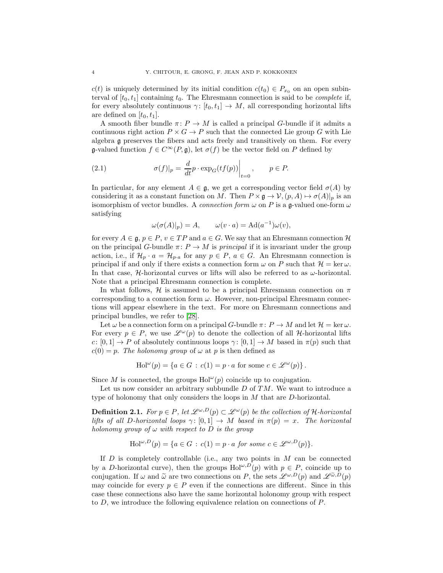$c(t)$  is uniquely determined by its initial condition  $c(t_0) \in P_{x_0}$  on an open subinterval of  $[t_0, t_1]$  containing  $t_0$ . The Ehresmann connection is said to be *complete* if, for every absolutely continuous  $\gamma: [t_0, t_1] \to M$ , all corresponding horizontal lifts are defined on  $[t_0, t_1]$ .

A smooth fiber bundle  $\pi: P \to M$  is called a principal G-bundle if it admits a continuous right action  $P \times G \to P$  such that the connected Lie group G with Lie algebra g preserves the fibers and acts freely and transitively on them. For every g-valued function  $f \in C^{\infty}(P, \mathfrak{g})$ , let  $\sigma(f)$  be the vector field on P defined by

(2.1) 
$$
\sigma(f)|_p = \frac{d}{dt} p \cdot \exp_G(t f(p)) \Big|_{t=0}, \qquad p \in P.
$$

In particular, for any element  $A \in \mathfrak{g}$ , we get a corresponding vector field  $\sigma(A)$  by considering it as a constant function on M. Then  $P \times \mathfrak{g} \to \mathcal{V}, (p, A) \mapsto \sigma(A)|_p$  is an isomorphism of vector bundles. A *connection form*  $\omega$  on P is a g-valued one-form  $\omega$ satisfying

<span id="page-3-0"></span>
$$
\omega(\sigma(A)|_p) = A, \qquad \omega(v \cdot a) = \mathrm{Ad}(a^{-1})\omega(v),
$$

for every  $A \in \mathfrak{g}, p \in P, v \in TP$  and  $a \in G$ . We say that an Ehresmann connection H on the principal G-bundle  $\pi: P \to M$  is *principal* if it is invariant under the group action, i.e., if  $\mathcal{H}_p \cdot a = \mathcal{H}_{p \cdot a}$  for any  $p \in P$ ,  $a \in G$ . An Ehresmann connection is principal if and only if there exists a connection form  $\omega$  on P such that  $\mathcal{H} = \text{ker } \omega$ . In that case,  $H$ -horizontal curves or lifts will also be referred to as  $\omega$ -horizontal. Note that a principal Ehresmann connection is complete.

In what follows, H is assumed to be a principal Ehresmann connection on  $\pi$ corresponding to a connection form  $\omega$ . However, non-principal Ehresmann connections will appear elsewhere in the text. For more on Ehresmann connections and principal bundles, we refer to [\[28\]](#page-29-6).

Let  $\omega$  be a connection form on a principal G-bundle  $\pi: P \to M$  and let  $\mathcal{H} = \ker \omega$ . For every  $p \in P$ , we use  $\mathscr{L}^{\omega}(p)$  to denote the collection of all *H*-horizontal lifts c:  $[0,1] \rightarrow P$  of absolutely continuous loops  $\gamma: [0,1] \rightarrow M$  based in  $\pi(p)$  such that  $c(0) = p$ . The holonomy group of  $\omega$  at p is then defined as

$$
\text{Hol}^{\omega}(p) = \{ a \in G : c(1) = p \cdot a \text{ for some } c \in \mathscr{L}^{\omega}(p) \}.
$$

Since M is connected, the groups  $\text{Hol}^{\omega}(p)$  coincide up to conjugation.

Let us now consider an arbitrary subbundle  $D$  of  $TM$ . We want to introduce a type of holonomy that only considers the loops in M that are D-horizontal.

**Definition 2.1.** For  $p \in P$ , let  $\mathcal{L}^{\omega,D}(p) \subset \mathcal{L}^{\omega}(p)$  be the collection of H-horizontal lifts of all D-horizontal loops  $\gamma: [0,1] \to M$  based in  $\pi(p) = x$ . The horizontal holonomy group of  $\omega$  with respect to D is the group

$$
\text{Hol}^{\omega,D}(p) = \{ a \in G : c(1) = p \cdot a \text{ for some } c \in \mathcal{L}^{\omega,D}(p) \}.
$$

If  $D$  is completely controllable (i.e., any two points in  $M$  can be connected by a D-horizontal curve), then the groups  $\text{Hol}^{\omega,D}(p)$  with  $p \in P$ , coincide up to conjugation. If  $\omega$  and  $\tilde{\omega}$  are two connections on P, the sets  $\mathscr{L}^{\omega,D}(p)$  and  $\mathscr{L}^{\tilde{\omega},D}(p)$ may coincide for every  $p \in P$  even if the connections are different. Since in this case these connections also have the same horizontal holonomy group with respect to D, we introduce the following equivalence relation on connections of P.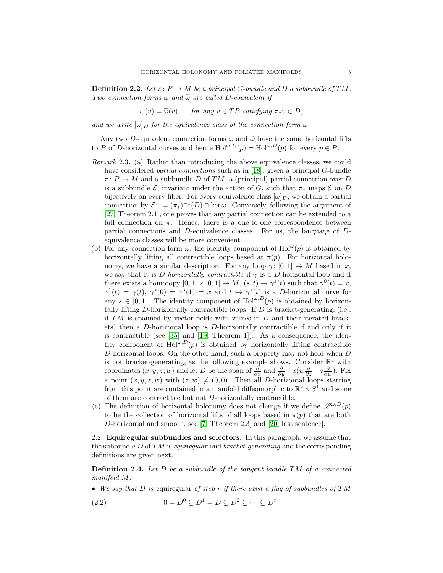**Definition 2.2.** Let  $\pi: P \to M$  be a principal G-bundle and D a subbundle of TM. Two connection forms  $\omega$  and  $\tilde{\omega}$  are called D-equivalent if

$$
\omega(v) = \widetilde{\omega}(v), \quad \text{ for any } v \in TP \text{ satisfying } \pi_* v \in D,
$$

and we write  $[\omega]_D$  for the equivalence class of the connection form  $\omega$ .

Any two D-equivalent connection forms  $\omega$  and  $\tilde{\omega}$  have the same horizontal lifts to P of D-horizontal curves and hence  $\text{Hol}^{\omega,D}(p) = \text{Hol}^{\tilde{\omega},D}(p)$  for every  $p \in P$ .

- Remark 2.3. (a) Rather than introducing the above equivalence classes, we could have considered *partial connections* such as in [\[18\]](#page-28-7): given a principal G-bundle  $\pi: P \to M$  and a subbundle D of TM, a (principal) partial connection over D is a subbundle  $\mathcal{E}$ , invariant under the action of  $G$ , such that  $\pi_*$  maps  $\mathcal{E}$  on  $D$ bijectively on every fiber. For every equivalence class  $[\omega]_D$ , we obtain a partial connection by  $\mathcal{E}$ : =  $(\pi_*)^{-1}(D) \cap \text{ker } \omega$ . Conversely, following the argument of [\[27,](#page-29-7) Theorem 2.1], one proves that any partial connection can be extended to a full connection on  $\pi$ . Hence, there is a one-to-one correspondence between partial connections and D-equivalence classes. For us, the language of Dequivalence classes will be more convenient.
- (b) For any connection form  $\omega$ , the identity component of Hol<sup> $\omega$ </sup>(p) is obtained by horizontally lifting all contractible loops based at  $\pi(p)$ . For horizontal holonomy, we have a similar description. For any loop  $\gamma: [0, 1] \to M$  based in x, we say that it is D-horizontally contractible if  $\gamma$  is a D-horizontal loop and if there exists a homotopy  $[0,1] \times [0,1] \to M$ ,  $(s,t) \mapsto \gamma^s(t)$  such that  $\gamma^0(t) = x$ ,  $\gamma^1(t) = \gamma(t), \ \gamma^s(0) = \gamma^s(1) = x$  and  $t \mapsto \gamma^s(t)$  is a D-horizontal curve for any  $s \in [0,1]$ . The identity component of Hol<sup>ω,D</sup>(p) is obtained by horizontally lifting  $D$ -horizontally contractible loops. If  $D$  is bracket-generating, (i.e., if  $TM$  is spanned by vector fields with values in  $D$  and their iterated brackets) then a D-horizontal loop is D-horizontally contractible if and only if it is contractible (see [\[35\]](#page-29-8) and [\[19,](#page-28-17) Theorem 1]). As a consequence, the identity component of Hol<sup>ω,D</sup>(p) is obtained by horizontally lifting contractible D-horizontal loops. On the other hand, such a property may not hold when  $D$ is not bracket-generating, as the following example shows. Consider  $\mathbb{R}^4$  with coordinates  $(x, y, z, w)$  and let D be the span of  $\frac{\partial}{\partial x}$  and  $\frac{\partial}{\partial y} + x(w \frac{\partial}{\partial z} - z \frac{\partial}{\partial w})$ . Fix a point  $(x, y, z, w)$  with  $(z, w) \neq (0, 0)$ . Then all D-horizontal loops starting from this point are contained in a manifold diffeomorphic to  $\mathbb{R}^2 \times S^1$  and some of them are contractible but not D-horizontally contractible.
- (c) The definition of horizontal holonomy does not change if we define  $\mathscr{L}^{\omega,D}(p)$ to be the collection of horizontal lifts of all loops based in  $\pi(p)$  that are both D-horizontal and smooth, see [\[7,](#page-28-18) Theorem 2.3] and [\[20,](#page-28-19) last sentence].

<span id="page-4-0"></span>2.2. Equiregular subbundles and selectors. In this paragraph, we assume that the subbundle D of TM is equiregular and bracket-generating and the corresponding definitions are given next.

**Definition 2.4.** Let  $D$  be a subbundle of the tangent bundle  $TM$  of a connected manifold M.

<span id="page-4-1"></span>• We say that D is equiregular of step r if there exist a flag of subbundles of  $TM$ 

(2.2) 
$$
0 = D^0 \subsetneq D^1 = D \subsetneq D^2 \subsetneq \cdots \subsetneq D^r,
$$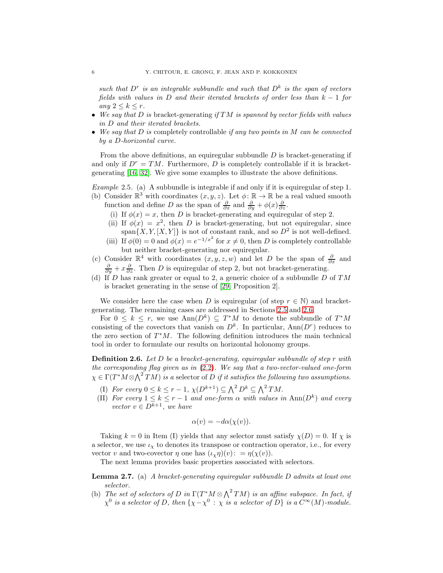such that  $D^r$  is an integrable subbundle and such that  $D^k$  is the span of vectors fields with values in D and their iterated brackets of order less than  $k - 1$  for any  $2 \leq k \leq r$ .

- We say that  $D$  is bracket-generating if  $TM$  is spanned by vector fields with values in D and their iterated brackets.
- We say that  $D$  is completely controllable if any two points in  $M$  can be connected by a D-horizontal curve.

From the above definitions, an equiregular subbundle  $D$  is bracket-generating if and only if  $D^r = TM$ . Furthermore, D is completely controllable if it is bracketgenerating  $[16, 32]$  $[16, 32]$ . We give some examples to illustrate the above definitions.

Example 2.5. (a) A subbundle is integrable if and only if it is equiregular of step 1.

- (b) Consider  $\mathbb{R}^3$  with coordinates  $(x, y, z)$ . Let  $\phi : \mathbb{R} \to \mathbb{R}$  be a real valued smooth function and define D as the span of  $\frac{\partial}{\partial x}$  and  $\frac{\partial}{\partial y} + \phi(x) \frac{\partial}{\partial z}$ .
	- (i) If  $\phi(x) = x$ , then D is bracket-generating and equiregular of step 2.
	- (ii) If  $\phi(x) = x^2$ , then D is bracket-generating, but not equiregular, since span $\{X, Y, [X, Y]\}$  is not of constant rank, and so  $D^2$  is not well-defined.
	- (iii) If  $\phi(0) = 0$  and  $\phi(x) = e^{-1/x^2}$  for  $x \neq 0$ , then D is completely controllable but neither bracket-generating nor equiregular.
- (c) Consider  $\mathbb{R}^4$  with coordinates  $(x, y, z, w)$  and let D be the span of  $\frac{\partial}{\partial x}$  and  $\frac{\partial}{\partial y} + x \frac{\partial}{\partial z}$ . Then D is equiregular of step 2, but not bracket-generating.
- (d) If D has rank greater or equal to 2, a generic choice of a subbundle D of  $TM$ is bracket generating in the sense of [\[29,](#page-29-10) Proposition 2].

We consider here the case when D is equiregular (of step  $r \in \mathbb{N}$ ) and bracketgenerating. The remaining cases are addressed in Sections [2.5](#page-14-0) and [2.6.](#page-15-0)

For  $0 \leq k \leq r$ , we use  $\text{Ann}(D^k) \subseteq T^*M$  to denote the subbundle of  $T^*M$ consisting of the covectors that vanish on  $D^k$ . In particular,  $\text{Ann}(D^r)$  reduces to the zero section of  $T^*M$ . The following definition introduces the main technical tool in order to formulate our results on horizontal holonomy groups.

<span id="page-5-0"></span>**Definition 2.6.** Let D be a bracket-generating, equiregular subbundle of step r with the corresponding flag given as in [\(2.2\)](#page-4-1). We say that a two-vector-valued one-form  $\chi \in \Gamma(T^*M \otimes \bigwedge^2 TM)$  is a selector of D if it satisfies the following two assumptions.

- (I) For every  $0 \leq k \leq r-1$ ,  $\chi(D^{k+1}) \subseteq \bigwedge^2 D^k \subseteq \bigwedge^2 TM$ .
- (II) For every  $1 \leq k \leq r-1$  and one-form  $\alpha$  with values in  $\text{Ann}(D^k)$  and every vector  $v \in D^{k+1}$ , we have

$$
\alpha(v) = -d\alpha(\chi(v)).
$$

Taking  $k = 0$  in Item (I) yields that any selector must satisfy  $\chi(D) = 0$ . If  $\chi$  is a selector, we use  $\iota_{\chi}$  to denotes its transpose or contraction operator, i.e., for every vector v and two-covector  $\eta$  one has  $(\iota_{\chi}\eta)(v)$ : =  $\eta(\chi(v))$ .

The next lemma provides basic properties associated with selectors.

Lemma 2.7. (a) A bracket-generating equiregular subbundle D admits at least one selector.

(b) The set of selectors of D in  $\Gamma(T^*M\otimes \bigwedge^2 TM)$  is an affine subspace. In fact, if  $\chi^0$  is a selector of D, then  $\{\chi-\chi^0\,:\,\chi$  is a selector of D} is a  $C^\infty(M)$ -module.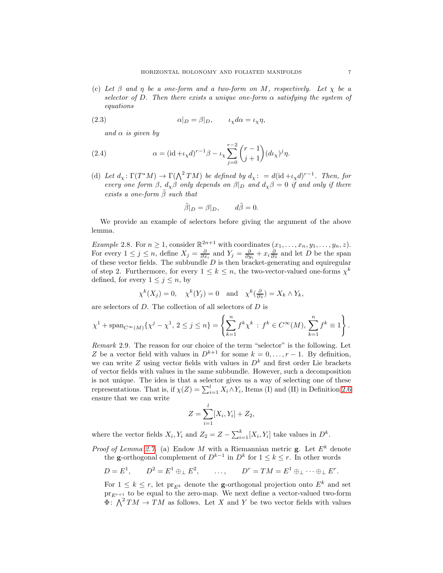(c) Let  $\beta$  and  $\eta$  be a one-form and a two-form on M, respectively. Let  $\chi$  be a selector of D. Then there exists a unique one-form  $\alpha$  satisfying the system of equations

(2.3) 
$$
\alpha|_D = \beta|_D, \qquad \iota_\chi d\alpha = \iota_\chi \eta,
$$

<span id="page-6-0"></span>and  $\alpha$  is given by

(2.4) 
$$
\alpha = (\mathrm{id} + \iota_{\chi} d)^{r-1} \beta - \iota_{\chi} \sum_{j=0}^{r-2} {r-1 \choose j+1} (d\iota_{\chi})^j \eta.
$$

(d) Let  $d_\chi: \Gamma(T^*M) \to \Gamma(\bigwedge^2 TM)$  be defined by  $d_\chi: = d(\mathrm{id} + \iota_\chi d)^{r-1}$ . Then, for every one form  $\beta$ ,  $d_{\chi}\beta$  only depends on  $\beta|_D$  and  $d_{\chi}\beta=0$  if and only if there exists a one-form  $\tilde{\beta}$  such that

$$
\tilde{\beta}|_D = \beta|_D, \qquad d\tilde{\beta} = 0.
$$

We provide an example of selectors before giving the argument of the above lemma.

<span id="page-6-1"></span>*Example 2.8.* For  $n \geq 1$ , consider  $\mathbb{R}^{2n+1}$  with coordinates  $(x_1, \ldots, x_n, y_1, \ldots, y_n, z)$ . For every  $1 \leq j \leq n$ , define  $X_j = \frac{\partial}{\partial x_i}$  and  $Y_j = \frac{\partial}{\partial y_i} + x_i \frac{\partial}{\partial z}$  and let D be the span of these vector fields. The subbundle  $D$  is then bracket-generating and equiregular of step 2. Furthermore, for every  $1 \leq k \leq n$ , the two-vector-valued one-forms  $\chi^k$ defined, for every  $1 \leq j \leq n$ , by

$$
\chi^k(X_j) = 0
$$
,  $\chi^k(Y_j) = 0$  and  $\chi^k(\frac{\partial}{\partial z}) = X_k \wedge Y_k$ ,

are selectors of D. The collection of all selectors of D is

$$
\chi^1 + \text{span}_{C^{\infty}(M)} \{ \chi^j - \chi^1, \ 2 \le j \le n \} = \left\{ \sum_{k=1}^n f^k \chi^k : \ f^k \in C^{\infty}(M), \ \sum_{k=1}^n f^k \equiv 1 \right\}.
$$

Remark 2.9. The reason for our choice of the term "selector" is the following. Let Z be a vector field with values in  $D^{k+1}$  for some  $k = 0, \ldots, r-1$ . By definition, we can write  $Z$  using vector fields with values in  $D<sup>k</sup>$  and first order Lie brackets of vector fields with values in the same subbundle. However, such a decomposition is not unique. The idea is that a selector gives us a way of selecting one of these representations. That is, if  $\chi(Z) = \sum_{i=1}^{l} X_i \wedge Y_i$ , Items (I) and (II) in Definition [2.6](#page-5-0) ensure that we can write

$$
Z = \sum_{i=1}^{l} [X_i, Y_i] + Z_2,
$$

where the vector fields  $X_i, Y_i$  and  $Z_2 = Z - \sum_{i=1}^k [X_i, Y_i]$  take values in  $D^k$ .

*Proof of Lemma 2.7.* (a) Endow M with a Riemannian metric  $\mathbf{g}$ . Let  $E^k$  denote the **g**-orthogonal complement of  $D^{k-1}$  in  $D^k$  for  $1 \leq k \leq r$ . In other words

$$
D = E1, \qquad D2 = E1 \oplus_{\perp} E2, \qquad \ldots, \qquad Dr = TM = E1 \oplus_{\perp} \cdots \oplus_{\perp} Er.
$$

For  $1 \leq k \leq r$ , let  $\text{pr}_{E^k}$  denote the **g**-orthogonal projection onto  $E^k$  and set  $pr_{E^{r+1}}$  to be equal to the zero-map. We next define a vector-valued two-form  $\Phi: \bigwedge^2 TM \to TM$  as follows. Let X and Y be two vector fields with values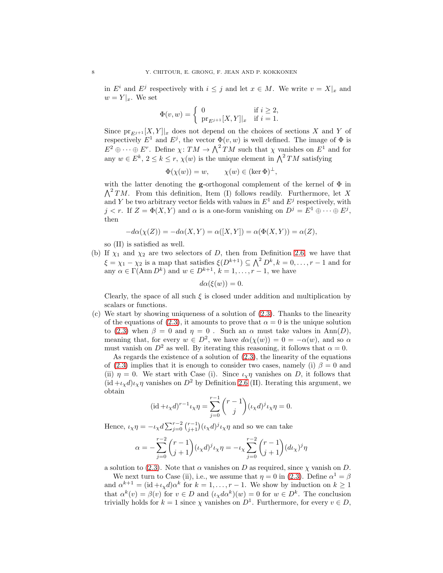in  $E^i$  and  $E^j$  respectively with  $i \leq j$  and let  $x \in M$ . We write  $v = X|_x$  and  $w = Y|_{x}$ . We set

$$
\Phi(v, w) = \begin{cases} 0 & \text{if } i \ge 2, \\ \text{pr}_{E^{j+1}}[X, Y]|_x & \text{if } i = 1. \end{cases}
$$

Since  $\mathrm{pr}_{E^{j+1}}[X, Y]|_x$  does not depend on the choices of sections X and Y of respectively  $E^1$  and  $E^j$ , the vector  $\Phi(v, w)$  is well defined. The image of  $\Phi$  is  $E^2 \oplus \cdots \oplus E^r$ . Define  $\chi: TM \to \bigwedge^2 TM$  such that  $\chi$  vanishes on  $E^1$  and for any  $w \in E^k$ ,  $2 \leq k \leq r$ ,  $\chi(w)$  is the unique element in  $\bigwedge^2 TM$  satisfying

$$
\Phi(\chi(w)) = w, \qquad \chi(w) \in (\ker \Phi)^{\perp},
$$

with the latter denoting the **g**-orthogonal complement of the kernel of  $\Phi$  in  $\bigwedge^2 TM$ . From this definition, Item (I) follows readily. Furthermore, let X and Y be two arbitrary vector fields with values in  $E^1$  and  $E^j$  respectively, with  $j < r$ . If  $Z = \Phi(X, Y)$  and  $\alpha$  is a one-form vanishing on  $D^j = E^1 \oplus \cdots \oplus E^j$ , then

$$
-d\alpha(\chi(Z)) = -d\alpha(X,Y) = \alpha([X,Y]) = \alpha(\Phi(X,Y)) = \alpha(Z),
$$

so (II) is satisfied as well.

(b) If  $\chi_1$  and  $\chi_2$  are two selectors of D, then from Definition [2.6,](#page-5-0) we have that  $\xi = \chi_1 - \chi_2$  is a map that satisfies  $\xi(D^{k+1}) \subseteq \bigwedge^2 D^k, k = 0, \ldots, r-1$  and for any  $\alpha \in \Gamma(\text{Ann } D^k)$  and  $w \in D^{k+1}, k = 1, \ldots, r-1$ , we have

$$
d\alpha(\xi(w))=0.
$$

Clearly, the space of all such  $\xi$  is closed under addition and multiplication by scalars or functions.

(c) We start by showing uniqueness of a solution of [\(2.3\)](#page-6-0). Thanks to the linearity of the equations of [\(2.3\)](#page-6-0), it amounts to prove that  $\alpha = 0$  is the unique solution to [\(2.3\)](#page-6-0) when  $\beta = 0$  and  $\eta = 0$ . Such an  $\alpha$  must take values in Ann(D), meaning that, for every  $w \in D^2$ , we have  $d\alpha(\chi(w)) = 0 = -\alpha(w)$ , and so  $\alpha$ must vanish on  $D^2$  as well. By iterating this reasoning, it follows that  $\alpha = 0$ .

As regards the existence of a solution of [\(2.3\)](#page-6-0), the linearity of the equations of [\(2.3\)](#page-6-0) implies that it is enough to consider two cases, namely (i)  $\beta = 0$  and (ii)  $\eta = 0$ . We start with Case (i). Since  $\iota_{\chi} \eta$  vanishes on D, it follows that  $(id + \iota_X d)\iota_X \eta$  vanishes on  $D^2$  by Definition [2.6](#page-5-0) (II). Iterating this argument, we obtain

$$
(\mathrm{id} + \iota_{\chi} d)^{r-1} \iota_{\chi} \eta = \sum_{j=0}^{r-1} {r-1 \choose j} (\iota_{\chi} d)^j \iota_{\chi} \eta = 0.
$$

Hence,  $\iota_{\chi}\eta = -\iota_{\chi}d\sum_{j=0}^{r-2} \binom{r-1}{j+1} (\iota_{\chi}d)^j \iota_{\chi}\eta$  and so we can take

$$
\alpha=-\sum_{j=0}^{r-2}{r-1\choose j+1}(\iota_{\chi}d)^j\iota_{\chi}\eta=-\iota_{\chi}\sum_{j=0}^{r-2}{r-1\choose j+1}(d\iota_{\chi})^j\eta
$$

a solution to [\(2.3\)](#page-6-0). Note that  $\alpha$  vanishes on D as required, since  $\chi$  vanish on D.

We next turn to Case (ii), i.e., we assume that  $\eta = 0$  in [\(2.3\)](#page-6-0). Define  $\alpha^1 = \beta$ and  $\alpha^{k+1} = (\mathrm{id} + \iota_{\chi} d) \alpha^k$  for  $k = 1, \ldots, r - 1$ . We show by induction on  $k \geq 1$ that  $\alpha^k(v) = \beta(v)$  for  $v \in D$  and  $(\iota_X d\alpha^k)(w) = 0$  for  $w \in D^k$ . The conclusion trivially holds for  $k = 1$  since  $\chi$  vanishes on  $D^1$ . Furthermore, for every  $v \in D$ ,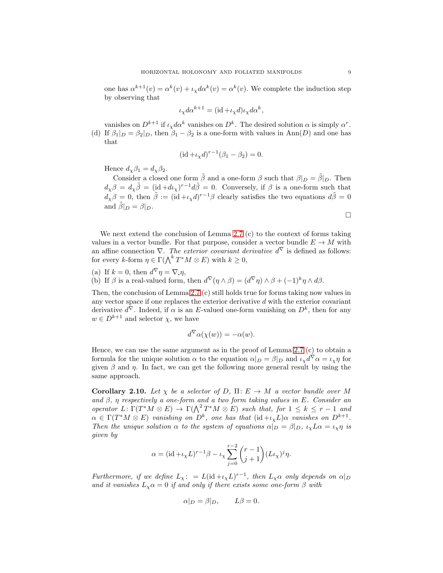one has  $\alpha^{k+1}(v) = \alpha^k(v) + \iota_{\chi} d\alpha^k(v) = \alpha^k(v)$ . We complete the induction step by observing that

$$
\iota_{\chi} d\alpha^{k+1} = (\mathrm{id} + \iota_{\chi} d)\iota_{\chi} d\alpha^k,
$$

vanishes on  $D^{k+1}$  if  $\iota_{\chi} d\alpha^k$  vanishes on  $D^k$ . The desired solution  $\alpha$  is simply  $\alpha^r$ . (d) If  $\beta_1|_D = \beta_2|_D$ , then  $\beta_1 - \beta_2$  is a one-form with values in Ann(D) and one has that

$$
(\mathrm{id} + \iota_{\chi} d)^{r-1} (\beta_1 - \beta_2) = 0.
$$

Hence  $d_{\chi}\beta_1 = d_{\chi}\beta_2$ .

Consider a closed one form  $\tilde{\beta}$  and a one-form  $\beta$  such that  $\beta|_D = \tilde{\beta}|_D$ . Then  $d_{\chi}\beta = d_{\chi}\tilde{\beta} = (\mathrm{id} + d\iota_{\chi})^{r-1}d\tilde{\beta} = 0.$  Conversely, if  $\beta$  is a one-form such that  $d_{\chi}\beta = 0$ , then  $\tilde{\beta} := (\text{id} + \iota_{\chi} d)^{r-1}\beta$  clearly satisfies the two equations  $d\tilde{\beta} = 0$ and  $\tilde{\beta}|_D = \beta|_D$ .

We next extend the conclusion of Lemma 2.7 (c) to the context of forms taking values in a vector bundle. For that purpose, consider a vector bundle  $E \to M$  with an affine connection  $\nabla$ . The exterior covariant derivative  $d^{\nabla}$  is defined as follows: for every k-form  $\eta \in \Gamma(\bigwedge^k T^*M \otimes E)$  with  $k \geq 0$ ,

(a) If 
$$
k = 0
$$
, then  $d^{\nabla} \eta = \nabla \eta$ ,  
(b) If  $\beta$  is a real-valued form, then  $d^{\nabla}(\eta \wedge \beta) = (d^{\nabla} \eta) \wedge \beta + (-1)^k \eta \wedge d\beta$ .

Then, the conclusion of Lemma 2.7 (c) still holds true for forms taking now values in any vector space if one replaces the exterior derivative  $d$  with the exterior covariant derivative  $d^{\nabla}$ . Indeed, if  $\alpha$  is an E-valued one-form vanishing on  $D^k$ , then for any  $w \in D^{k+1}$  and selector  $\chi$ , we have

$$
d^{\nabla} \alpha(\chi(w)) = -\alpha(w).
$$

Hence, we can use the same argument as in the proof of Lemma 2.7 (c) to obtain a formula for the unique solution  $\alpha$  to the equation  $\alpha|_D = \beta|_D$  and  $\iota_\chi d^\nabla \alpha = \iota_\chi \eta$  for given  $\beta$  and  $\eta$ . In fact, we can get the following more general result by using the same approach.

<span id="page-8-0"></span>**Corollary 2.10.** Let  $\chi$  be a selector of D,  $\Pi: E \to M$  a vector bundle over M and  $\beta$ ,  $\eta$  respectively a one-form and a two form taking values in E. Consider an operator  $L: \Gamma(T^*M \otimes E) \to \Gamma(\bigwedge^2 T^*M \otimes E)$  such that, for  $1 \leq k \leq r-1$  and  $\alpha \in \Gamma(T^*M \otimes E)$  vanishing on  $D^k$ , one has that  $(\mathrm{id} + \iota_{\chi}L)\alpha$  vanishes on  $D^{k+1}$ . Then the unique solution  $\alpha$  to the system of equations  $\alpha|_D = \beta|_D$ ,  $\iota_\chi L \alpha = \iota_\chi \eta$  is given by

$$
\alpha = (\mathrm{id} + \iota_{\chi} L)^{r-1} \beta - \iota_{\chi} \sum_{j=0}^{r-2} {r-1 \choose j+1} (L \iota_{\chi})^j \eta.
$$

Furthermore, if we define  $L_{\chi}$ : =  $L(\mathrm{id} + \iota_{\chi} L)^{r-1}$ , then  $L_{\chi} \alpha$  only depends on  $\alpha|_D$ and it vanishes  $L_x \alpha = 0$  if and only if there exists some one-form  $\beta$  with

$$
\alpha|_D = \beta|_D, \qquad L\beta = 0.
$$

 $\Box$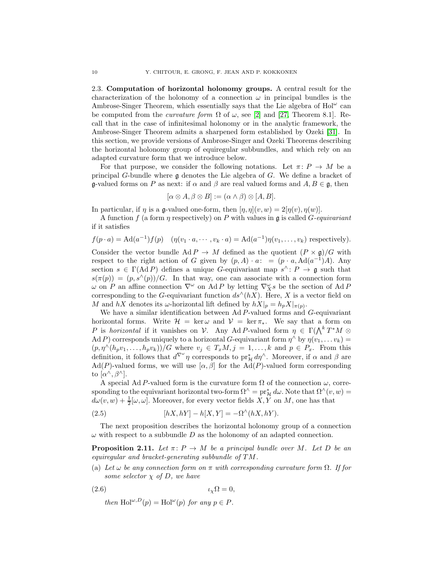<span id="page-9-0"></span>2.3. Computation of horizontal holonomy groups. A central result for the characterization of the holonomy of a connection  $\omega$  in principal bundles is the Ambrose-Singer Theorem, which essentially says that the Lie algebra of  $Hol^{\omega}$  can be computed from the *curvature form*  $\Omega$  of  $\omega$ , see [\[2\]](#page-28-9) and [\[27,](#page-29-7) Theorem 8.1]. Recall that in the case of infinitesimal holonomy or in the analytic framework, the Ambrose-Singer Theorem admits a sharpened form established by Ozeki [\[31\]](#page-29-5). In this section, we provide versions of Ambrose-Singer and Ozeki Theorems describing the horizontal holonomy group of equiregular subbundles, and which rely on an adapted curvature form that we introduce below.

For that purpose, we consider the following notations. Let  $\pi: P \to M$  be a principal G-bundle where  $\mathfrak g$  denotes the Lie algebra of G. We define a bracket of g-valued forms on P as next: if  $\alpha$  and  $\beta$  are real valued forms and  $A, B \in \mathfrak{g}$ , then

$$
[\alpha \otimes A, \beta \otimes B] := (\alpha \wedge \beta) \otimes [A, B].
$$

In particular, if  $\eta$  is a g-valued one-form, then  $[\eta, \eta](v, w) = 2[\eta(v), \eta(w)]$ .

A function f (a form  $\eta$  respectively) on P with values in  $\mathfrak g$  is called G-equivariant if it satisfies

$$
f(p \cdot a) = \mathrm{Ad}(a^{-1}) f(p) \quad (\eta(v_1 \cdot a, \dots, v_k \cdot a) = \mathrm{Ad}(a^{-1}) \eta(v_1, \dots, v_k) \text{ respectively}).
$$

Consider the vector bundle Ad  $P \to M$  defined as the quotient  $(P \times \mathfrak{g})/G$  with respect to the right action of G given by  $(p, A) \cdot a: = (p \cdot a, \text{Ad}(a^{-1})A)$ . Any section  $s \in \Gamma(\text{Ad } P)$  defines a unique G-equivariant map  $s^{\wedge} \colon P \to \mathfrak{g}$  such that  $s(\pi(p)) = (p, s^{\wedge}(p))/G$ . In that way, one can associate with a connection form  $\omega$  on P an affine connection  $\nabla^{\omega}$  on Ad P by letting  $\nabla^{\omega}_X s$  be the section of Ad P corresponding to the G-equivariant function  $ds^{\wedge}(hX)$ . Here, X is a vector field on M and hX denotes its  $\omega$ -horizontal lift defined by  $hX|_p = h_pX|_{\pi(p)}$ .

We have a similar identification between  $Ad P$ -valued forms and  $G$ -equivariant horizontal forms. Write  $\mathcal{H} = \ker \omega$  and  $\mathcal{V} = \ker \pi_*$ . We say that a form on P is horizontal if it vanishes on V. Any Ad P-valued form  $\eta \in \Gamma(\bigwedge^k T^*M \otimes$ Ad P) corresponds uniquely to a horizontal G-equivariant form  $\eta^{\wedge}$  by  $\eta(v_1, \ldots v_k) =$  $(p, \eta^{\wedge}(h_pv_1, \ldots, h_pv_k))/G$  where  $v_j \in T_xM, j = 1, \ldots, k$  and  $p \in P_x$ . From this definition, it follows that  $d^{\nabla^{\omega}} \eta$  corresponds to  $\text{pr}_{\mathcal{H}}^* d\eta^{\wedge}$ . Moreover, if  $\alpha$  and  $\beta$  are  $\text{Ad}(P)$ -valued forms, we will use  $[\alpha, \beta]$  for the  $\text{Ad}(P)$ -valued form corresponding to  $[\alpha^{\wedge}, \beta^{\wedge}].$ 

<span id="page-9-3"></span>A special Ad P-valued form is the curvature form  $\Omega$  of the connection  $\omega$ , corresponding to the equivariant horizontal two-form  $\Omega^{\wedge} = \mathrm{pr}^*_{\mathcal{H}} d\omega$ . Note that  $\Omega^{\wedge}(v, w) =$  $d\omega(v, w) + \frac{1}{2}[\omega, \omega]$ . Moreover, for every vector fields  $X, \overline{Y}$  on  $M$ , one has that

(2.5) 
$$
[hX, hY] - h[X, Y] = -\Omega^{\wedge}(hX, hY).
$$

The next proposition describes the horizontal holonomy group of a connection  $\omega$  with respect to a subbundle D as the holonomy of an adapted connection.

<span id="page-9-2"></span>**Proposition 2.11.** Let  $\pi: P \to M$  be a principal bundle over M. Let D be an equiregular and bracket-generating subbundle of TM.

(a) Let  $\omega$  be any connection form on  $\pi$  with corresponding curvature form  $\Omega$ . If for some selector  $\chi$  of D, we have

$$
(\text{2.6}) \qquad \qquad \iota_{\chi}\Omega = 0,
$$

<span id="page-9-1"></span>then  $\text{Hol}^{\omega,D}(p) = \text{Hol}^{\omega}(p)$  for any  $p \in P$ .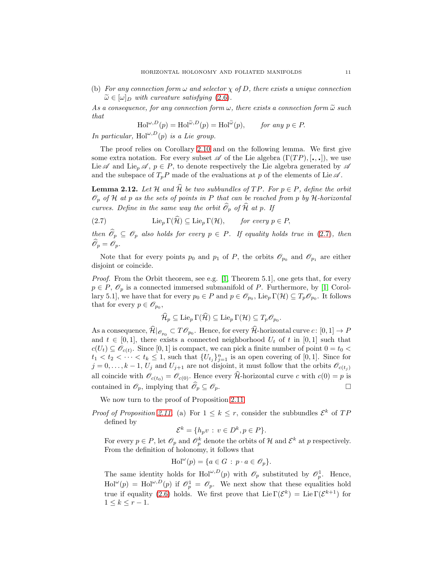(b) For any connection form  $\omega$  and selector  $\chi$  of D, there exists a unique connection  $\widetilde{\omega} \in [\omega]_D$  with curvature satisfying  $(2.6)$ .

As a consequence, for any connection form  $\omega$ , there exists a connection form  $\tilde{\omega}$  such that

$$
\mathrm{Hol}^{\omega,D}(p) = \mathrm{Hol}^{\widetilde{\omega},D}(p) = \mathrm{Hol}^{\widetilde{\omega}}(p), \qquad \text{for any } p \in P.
$$

In particular, Hol<sup> $\omega,D(p)$ </sup> is a Lie group.

The proof relies on Corollary [2.10](#page-8-0) and on the following lemma. We first give some extra notation. For every subset  $\mathscr A$  of the Lie algebra  $(\Gamma(TP), [\cdot, \cdot])$ , we use Lie  $\mathscr A$  and Lie<sub>p</sub>  $\mathscr A$ ,  $p \in P$ , to denote respectively the Lie algebra generated by  $\mathscr A$ and the subspace of  $T_pP$  made of the evaluations at p of the elements of Lie  $\mathscr A$ .

<span id="page-10-1"></span>**Lemma 2.12.** Let H and  $\widehat{\mathcal{H}}$  be two subbundles of TP. For  $p \in P$ , define the orbit  $\mathscr{O}_p$  of H at p as the sets of points in P that can be reached from p by H-horizontal curves. Define in the same way the orbit  $\widehat{\mathcal{O}}_p$  of  $\widehat{\mathcal{H}}$  at p. If

(2.7) 
$$
\operatorname{Lie}_p \Gamma(\hat{\mathcal{H}}) \subseteq \operatorname{Lie}_p \Gamma(\mathcal{H}), \qquad \text{for every } p \in P,
$$

then  $\widehat{\mathcal{O}}_p \subseteq \mathcal{O}_p$  also holds for every  $p \in P$ . If equality holds true in [\(2.7\)](#page-10-0), then  $\widehat{\mathscr{O}}_p = \mathscr{O}_p.$ 

Note that for every points  $p_0$  and  $p_1$  of P, the orbits  $\mathscr{O}_{p_0}$  and  $\mathscr{O}_{p_1}$  are either disjoint or coincide.

Proof. From the Orbit theorem, see e.g. [\[1,](#page-28-21) Theorem 5.1], one gets that, for every  $p \in P$ ,  $\mathscr{O}_p$  is a connected immersed submanifold of P. Furthermore, by [\[1,](#page-28-21) Corollary 5.1], we have that for every  $p_0 \in P$  and  $p \in \mathscr{O}_{p_0}$ , Lie<sub>p</sub>  $\Gamma(\mathcal{H}) \subseteq T_p \mathscr{O}_{p_0}$ . It follows that for every  $p \in \mathscr{O}_{p_0}$ ,

<span id="page-10-0"></span>
$$
\widehat{\mathcal{H}}_p\subseteq\mathrm{Lie}_p\,\Gamma(\widehat{\mathcal{H}})\subseteq\mathrm{Lie}_p\,\Gamma(\mathcal{H})\subseteq T_p\mathscr{O}_{p_0}.
$$

As a consequence,  $\widehat{\mathcal{H}}|_{\mathscr{O}_{p_0}} \subset T\mathscr{O}_{p_0}$ . Hence, for every  $\widehat{\mathcal{H}}$ -horizontal curve  $c \colon [0,1] \to P$ and  $t \in [0,1]$ , there exists a connected neighborhood  $U_t$  of t in [0,1] such that  $c(U_t) \subseteq \mathscr{O}_{c(t)}$ . Since [0, 1] is compact, we can pick a finite number of point  $0 = t_0$  <  $t_1 < t_2 < \cdots < t_k \leq 1$ , such that  $\{U_{t_j}\}_{j=1}^n$  is an open covering of [0,1]. Since for  $j = 0, \ldots, k-1, U_j$  and  $U_{j+1}$  are not disjoint, it must follow that the orbits  $\mathscr{O}_{c(t_j)}$ all coincide with  $\mathcal{O}_{c(t_0)} = \mathcal{O}_{c(0)}$ . Hence every  $\mathcal{H}$ -horizontal curve c with  $c(0) = p$  is contained in  $\mathscr{O}_p$ , implying that  $\widehat{\mathscr{O}}_p \subseteq \mathscr{O}_p$ .

We now turn to the proof of Proposition [2.11.](#page-9-2)

*Proof of Proposition [2.11.](#page-9-2)* (a) For  $1 \leq k \leq r$ , consider the subbundles  $\mathcal{E}^k$  of TP defined by

$$
\mathcal{E}^k = \{h_p v : v \in D^k, p \in P\}.
$$

For every  $p \in P$ , let  $\mathscr{O}_p$  and  $\mathscr{O}_p^k$  denote the orbits of H and  $\mathcal{E}^k$  at p respectively. From the definition of holonomy, it follows that

$$
\mathrm{Hol}^{\omega}(p) = \{ a \in G : p \cdot a \in \mathscr{O}_p \}.
$$

The same identity holds for Hol<sup>ω,D</sup>(p) with  $\mathscr{O}_p$  substituted by  $\mathscr{O}_p^1$ . Hence,  $\text{Hol}^{\omega}(p) = \text{Hol}^{\omega,D}(p)$  if  $\mathcal{O}_p^1 = \mathcal{O}_p$ . We next show that these equalities hold true if equality [\(2.6\)](#page-9-1) holds. We first prove that  $\text{Lie } \Gamma(\mathcal{E}^k) = \text{Lie } \Gamma(\mathcal{E}^{k+1})$  for  $1 \leq k \leq r-1$ .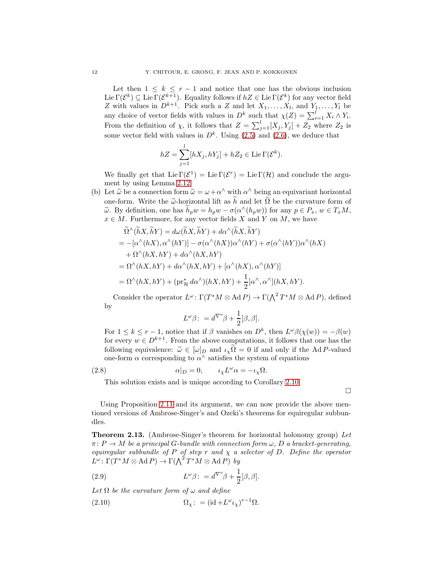Let then  $1 \leq k \leq r-1$  and notice that one has the obvious inclusion Lie  $\Gamma(\mathcal{E}^k) \subseteq \text{Lie }\Gamma(\mathcal{E}^{k+1})$ . Equality follows if  $hZ \in \text{Lie }\Gamma(\mathcal{E}^k)$  for any vector field Z with values in  $D^{k+1}$ . Pick such a Z and let  $X_1, \ldots, X_l$ , and  $Y_1, \ldots, Y_l$  be any choice of vector fields with values in  $D^k$  such that  $\chi(Z) = \sum_{i=1}^l X_i \wedge Y_i$ . From the definition of  $\chi$ , it follows that  $Z = \sum_{j=1}^{l} [X_j, Y_j] + Z_2$  where  $Z_2$  is some vector field with values in  $D^k$ . Using  $(2.5)$  and  $(2.6)$ , we deduce that

$$
hZ = \sum_{j=1}^{l} [hX_j, hY_j] + hZ_2 \in \text{Lie}\,\Gamma(\mathcal{E}^k).
$$

We finally get that  $\text{Lie }\Gamma(\mathcal{E}^1) = \text{Lie }\Gamma(\mathcal{E}^r) = \text{Lie }\Gamma(\mathcal{H})$  and conclude the argument by using Lemma [2.12.](#page-10-1)

(b) Let  $\tilde{\omega}$  be a connection form  $\tilde{\omega} = \omega + \alpha^{\wedge}$  with  $\alpha^{\wedge}$  being an equivariant horizontal one-form. Write the  $\tilde{\omega}$ -horizontal lift as h and let  $\Omega$  be the curvature form of  $\widetilde{\omega}$ . By definition, one has  $\widetilde{h}_p w = h_p w - \sigma(\alpha^{\wedge}(h_p w))$  for any  $p \in P_x$ ,  $w \in T_xM$ ,  $x \in M$ . Furthermore, for any vector fields X and Y on M, we have

$$
\begin{split}\n\widetilde{\Omega}^{\wedge}(\widetilde{h}X,\widetilde{h}Y) &= d\omega(\widetilde{h}X,\widetilde{h}Y) + d\alpha^{\wedge}(\widetilde{h}X,\widetilde{h}Y) \\
&= -[\alpha^{\wedge}(hX),\alpha^{\wedge}(hY)] - \sigma(\alpha^{\wedge}(hX))\alpha^{\wedge}(hY) + \sigma(\alpha^{\wedge}(hY))\alpha^{\wedge}(hX) \\
&\quad + \Omega^{\wedge}(hX,hY) + d\alpha^{\wedge}(hX,hY) \\
&= \Omega^{\wedge}(hX,hY) + d\alpha^{\wedge}(hX,hY) + [\alpha^{\wedge}(hX),\alpha^{\wedge}(hY)] \\
&= \Omega^{\wedge}(hX,hY) + (\mathrm{pr}_{\mathcal{H}}^*d\alpha^{\wedge})(hX,hY) + \frac{1}{2}[\alpha^{\wedge},\alpha^{\wedge}](hX,hY).\n\end{split}
$$

Consider the operator  $L^{\omega}$ :  $\Gamma(T^*M \otimes \text{Ad} P) \to \Gamma(\bigwedge^2 T^*M \otimes \text{Ad} P)$ , defined by

$$
L^{\omega}\beta: = d^{\nabla^{\omega}}\beta + \frac{1}{2}[\beta, \beta].
$$

For  $1 \leq k \leq r-1$ , notice that if  $\beta$  vanishes on  $D^k$ , then  $L^{\omega}\beta(\chi(w)) = -\beta(w)$ for every  $w \in D^{k+1}$ . From the above computations, it follows that one has the following equivalence:  $\tilde{\omega} \in [\omega]_D$  and  $\iota_{\chi} \tilde{\Omega} = 0$  if and only if the Ad P-valued one-form  $\alpha$  corresponding to  $\alpha^{\wedge}$  satisfies the system of equations

(2.8) 
$$
\alpha|_D = 0, \qquad \iota_\chi L^\omega \alpha = -\iota_\chi \Omega.
$$

This solution exists and is unique according to Corollary [2.10.](#page-8-0)

<span id="page-11-2"></span><span id="page-11-0"></span> $\Box$ 

Using Proposition [2.11](#page-9-2) and its argument, we can now provide the above mentioned versions of Ambrose-Singer's and Ozeki's theorems for equiregular subbundles.

<span id="page-11-1"></span>**Theorem 2.13.** (Ambrose-Singer's theorem for horizontal holonomy group) Let  $\pi: P \to M$  be a principal G-bundle with connection form  $\omega, D$  a bracket-generating, equiregular subbundle of P of step r and  $\chi$  a selector of D. Define the operator  $L^{\omega} \colon \Gamma(T^*M \otimes \operatorname{Ad} P) \to \Gamma(\bigwedge^2 T^*M \otimes \operatorname{Ad} P)$  by

(2.9) 
$$
L^{\omega}\beta: = d^{\nabla^{\omega}}\beta + \frac{1}{2}[\beta, \beta].
$$

Let  $\Omega$  be the curvature form of  $\omega$  and define

(2.10) 
$$
\Omega_{\chi} \colon = (\mathrm{id} + L^{\omega} \iota_{\chi})^{r-1} \Omega.
$$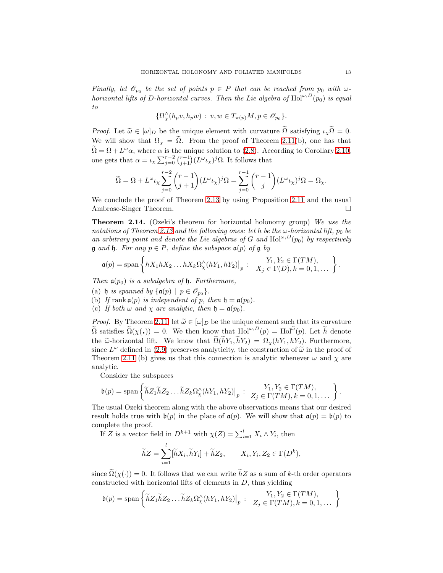Finally, let  $\mathscr{O}_{p_0}$  be the set of points  $p \in P$  that can be reached from  $p_0$  with  $\omega$ horizontal lifts of D-horizontal curves. Then the Lie algebra of  $\text{Hol}^{\omega,D}(p_0)$  is equal to

$$
\{\Omega^\wedge_{\chi}(h_pv,h_p w) : v, w \in T_{\pi(p)}M, p \in \mathscr{O}_{p_0}\}.
$$

*Proof.* Let  $\tilde{\omega} \in [\omega]_D$  be the unique element with curvature  $\tilde{\Omega}$  satisfying  $\iota_{\chi} \tilde{\Omega} = 0$ . We will show that  $\Omega_{\chi} = \tilde{\Omega}$ . From the proof of Theorem [2.11\(](#page-9-2)b), one has that  $\hat{\Omega} = \Omega + L^{\omega} \alpha$ , where  $\alpha$  is the unique solution to [\(2.8\)](#page-11-0). According to Corollary [2.10,](#page-8-0) one gets that  $\alpha = \iota_{\chi} \sum_{j=0}^{r-2} {\binom{r-1}{j+1}} (L^{\omega} \iota_{\chi})^j \Omega$ . It follows that

$$
\widetilde{\Omega}=\Omega+L^{\omega}\iota_{\chi}\sum_{j=0}^{r-2}{r-1\choose j+1}(L^{\omega}\iota_{\chi})^{j}\Omega=\sum_{j=0}^{r-1}{r-1\choose j}(L^{\omega}\iota_{\chi})^{j}\Omega=\Omega_{\chi}.
$$

We conclude the proof of Theorem [2.13](#page-11-1) by using Proposition [2.11](#page-9-2) and the usual Ambrose-Singer Theorem.

<span id="page-12-0"></span>Theorem 2.14. (Ozeki's theorem for horizontal holonomy group) We use the notations of Theorem [2.13](#page-11-1) and the following ones: let h be the  $\omega$ -horizontal lift,  $p_0$  be an arbitrary point and denote the Lie algebras of G and  $\text{Hol}^{\omega,D}(p_0)$  by respectively  $\mathfrak g$  and  $\mathfrak h$ . For any  $p \in P$ , define the subspace  $\mathfrak a(p)$  of  $\mathfrak g$  by

$$
\mathfrak{a}(p)=\text{span}\left\{hX_1hX_2\ldots hX_k\Omega^\wedge_\chi(hY_1,hY_2)\big|_p\,:\quad \begin{array}{c} Y_1,Y_2\in\Gamma(TM),\\ X_j\in\Gamma(D), k=0,1,\ldots\end{array}\right\}.
$$

Then  $a(p_0)$  is a subalgebra of  $\mathfrak h$ . Furthermore,

(a) h is spanned by  $\{\mathfrak{a}(p) \mid p \in \mathcal{O}_{p_0}\}.$ 

(b) If rank  $\mathfrak{a}(p)$  is independent of p, then  $\mathfrak{h} = \mathfrak{a}(p_0)$ .

(c) If both  $\omega$  and  $\chi$  are analytic, then  $\mathfrak{h} = \mathfrak{a}(p_0)$ .

*Proof.* By Theorem [2.11,](#page-9-2) let  $\tilde{\omega} \in [\omega]_D$  be the unique element such that its curvature  $\widetilde{\Omega}$  satisfies  $\widetilde{\Omega}(\chi(\cdot)) = 0$ . We then know that  $\text{Hol}^{\omega,D}(p) = \text{Hol}^{\widetilde{\omega}}(p)$ . Let  $\widetilde{h}$  denote the  $\tilde{\omega}$ -horizontal lift. We know that  $\tilde{\Omega}(hY_1, hY_2) = \Omega_X(hY_1, hY_2)$ . Furthermore, since  $L^{\omega}$  defined in [\(2.9\)](#page-11-2) preserves analyticity, the construction of  $\tilde{\omega}$  in the proof of Theorem 2.11 (b) gives us that this connection is analytic phase was analytical Theorem [2.11](#page-9-2) (b) gives us that this connection is analytic whenever  $\omega$  and  $\chi$  are analytic.

Consider the subspaces

$$
\mathfrak{b}(p) = \text{span}\left\{\widetilde{h}Z_1\widetilde{h}Z_2\ldots\widetilde{h}Z_k\Omega^\wedge_\chi(hY_1,hY_2)\big|_p: \begin{array}{c} Y_1,Y_2\in\Gamma(TM),\\ Z_j\in\Gamma(TM), k=0,1,\ldots \end{array}\right\}
$$

The usual Ozeki theorem along with the above observations means that our desired result holds true with  $\mathfrak{b}(p)$  in the place of  $\mathfrak{a}(p)$ . We will show that  $\mathfrak{a}(p) = \mathfrak{b}(p)$  to complete the proof.

If Z is a vector field in  $D^{k+1}$  with  $\chi(Z) = \sum_{i=1}^{l} X_i \wedge Y_i$ , then

$$
\widetilde{h}Z = \sum_{i=1}^{l} [\widetilde{h}X_i, \widetilde{h}Y_i] + \widetilde{h}Z_2, \qquad X_i, Y_i, Z_2 \in \Gamma(D^k),
$$

since  $\tilde{\Omega}(\chi(\cdot)) = 0$ . It follows that we can write  $\tilde{h}Z$  as a sum of k-th order operators constructed with horizontal lifts of elements in  $D$ , thus yielding

$$
\mathfrak{b}(p) = \mathrm{span}\left\{\widetilde{h}Z_1\widetilde{h}Z_2\ldots\widetilde{h}Z_k\Omega^\wedge_\chi(hY_1,hY_2)\big|_p: \begin{array}{c} Y_1,Y_2\in\Gamma(TM),\\ Z_j\in\Gamma(TM), k=0,1,\ldots \end{array}\right\}
$$

.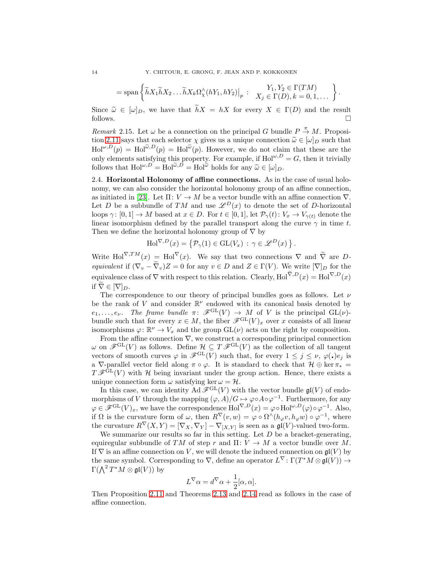$$
= \text{span}\left\{\widetilde{h}X_1\widetilde{h}X_2\ldots\widetilde{h}X_k\Omega^\wedge_\chi(hY_1,hY_2)\big|_p: \begin{array}{c} Y_1,Y_2 \in \Gamma(TM) \\ X_j \in \Gamma(D), k = 0,1,\ldots \end{array}\right\}.
$$

Since  $\tilde{\omega} \in [\omega]_D$ , we have that  $\tilde{h}X = hX$  for every  $X \in \Gamma(D)$  and the result follows. follows.  $\Box$ 

Remark 2.15. Let  $\omega$  be a connection on the principal G bundle  $P \stackrel{\pi}{\rightarrow} M$ . Proposi-tion [2.11](#page-9-2) says that each selector  $\chi$  gives us a unique connection  $\tilde{\omega} \in [\omega]_D$  such that  $\text{Hol}^{\omega,D}(p) = \text{Hol}^{\tilde{\omega},D}(p) = \text{Hol}^{\tilde{\omega}}(p)$ . However, we do not claim that these are the only elements satisfying this property. For example, if  $Hol^{\omega,D} = G$ , then it trivially follows that  $\text{Hol}^{\omega,D} = \text{Hol}^{\widetilde{\omega},D} = \text{Hol}^{\widetilde{\omega}}$  holds for any  $\widetilde{\omega} \in [\omega]_D$ .

<span id="page-13-0"></span>2.4. Horizontal Holonomy of affine connections. As in the case of usual holonomy, we can also consider the horizontal holonomy group of an affine connection, as initiated in [\[23\]](#page-28-8). Let  $\Pi: V \to M$  be a vector bundle with an affine connection  $\nabla$ . Let D be a subbundle of TM and use  $\mathscr{L}^D(x)$  to denote the set of D-horizontal loops  $\gamma: [0,1] \to M$  based at  $x \in D$ . For  $t \in [0,1]$ , let  $\mathcal{P}_{\gamma}(t): V_x \to V_{\gamma(t)}$  denote the linear isomorphism defined by the parallel transport along the curve  $\gamma$  in time t. Then we define the horizontal holonomy group of  $\nabla$  by

$$
\mathrm{Hol}^{\nabla,D}(x) = \left\{ \mathcal{P}_{\gamma}(1) \in \mathrm{GL}(V_x) : \gamma \in \mathscr{L}^D(x) \right\}.
$$

Write Hol<sup> $\nabla,TM(x) = Hol^{\nabla}(x)$ . We say that two connections  $\nabla$  and  $\tilde{\nabla}$  are D-</sup> equivalent if  $(\nabla_v - \widetilde{\nabla}_v)Z = 0$  for any  $v \in D$  and  $Z \in \Gamma(V)$ . We write  $[\nabla]_D$  for the equivalence class of  $\nabla$  with respect to this relation. Clearly,  $\text{Hol}^{\tilde{\nabla},D}(x) = \text{Hol}^{\nabla,D}(x)$ if  $\tilde{\nabla} \in [\nabla]_D$ .

The correspondence to our theory of principal bundles goes as follows. Let  $\nu$ be the rank of V and consider  $\mathbb{R}^{\nu}$  endowed with its canonical basis denoted by  $e_1, \ldots, e_{\nu}$ . The frame bundle  $\pi \colon \mathscr{F}^{\mathrm{GL}}(V) \to M$  of V is the principal  $\mathrm{GL}(\nu)$ bundle such that for every  $x \in M$ , the fiber  $\mathscr{F}^{\mathrm{GL}}(V)_x$  over x consists of all linear isomorphisms  $\varphi \colon \mathbb{R}^{\nu} \to V_x$  and the group  $GL(\nu)$  acts on the right by composition.

From the affine connection  $\nabla$ , we construct a corresponding principal connection  $\omega$  on  $\mathscr{F}^{\mathrm{GL}}(V)$  as follows. Define  $\mathcal{H} \subseteq T\mathscr{F}^{\mathrm{GL}}(V)$  as the collection of all tangent vectors of smooth curves  $\varphi$  in  $\mathscr{F}^{GL}(V)$  such that, for every  $1 \leq j \leq \nu$ ,  $\varphi(\cdot)e_j$  is a  $\nabla$ -parallel vector field along  $\pi \circ \varphi$ . It is standard to check that  $\mathcal{H} \oplus \ker \pi_* =$  $T \mathscr{F}^{\mathrm{GL}}(V)$  with H being invariant under the group action. Hence, there exists a unique connection form  $\omega$  satisfying ker  $\omega = \mathcal{H}$ .

In this case, we can identity  $\text{Ad}\,\mathscr{F}^{\text{GL}}(V)$  with the vector bundle  $\mathfrak{gl}(V)$  of endomorphisms of V through the mapping  $(\varphi, A)/G \mapsto \varphi \circ A \circ \varphi^{-1}$ . Furthermore, for any  $\varphi \in \mathscr{F}^{\mathrm{GL}}(V)_x$ , we have the correspondence  $\mathrm{Hol}^{\nabla,D}(x) = \varphi \circ \mathrm{Hol}^{\omega,D}(\varphi) \circ \varphi^{-1}$ . Also, if  $\Omega$  is the curvature form of  $\omega$ , then  $R^{\nabla}(v, w) = \varphi \circ \Omega^{\wedge}(h_{\varphi}v, h_{\varphi}w) \circ \varphi^{-1}$ , where the curvature  $R^{\nabla}(X,Y) = [\nabla_X, \nabla_Y] - \nabla_{[X,Y]}$  is seen as a  $\mathfrak{gl}(V)$ -valued two-form.

We summarize our results so far in this setting. Let  $D$  be a bracket-generating, equiregular subbundle of TM of step r and  $\Pi: V \to M$  a vector bundle over M. If  $\nabla$  is an affine connection on V, we will denote the induced connection on  $\mathfrak{gl}(V)$  by the same symbol. Corresponding to  $\nabla$ , define an operator  $L^{\nabla} \colon \Gamma(T^*M \otimes \mathfrak{gl}(V)) \to$  $\Gamma(\bigwedge^2 T^*M \otimes \mathfrak{gl}(V))$  by

$$
L^{\nabla} \alpha = d^{\nabla} \alpha + \frac{1}{2} [\alpha, \alpha].
$$

Then Proposition [2.11](#page-9-2) and Theorems [2.13](#page-11-1) and [2.14](#page-12-0) read as follows in the case of affine connection.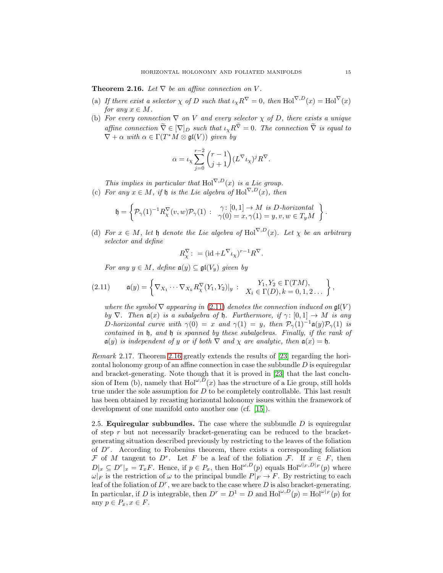<span id="page-14-2"></span>**Theorem 2.16.** Let  $\nabla$  be an affine connection on V.

- (a) If there exist a selector  $\chi$  of D such that  $\iota_{\chi} R^{\nabla} = 0$ , then  $\text{Hol}^{\nabla,D}(x) = \text{Hol}^{\nabla}(x)$ for any  $x \in M$ .
- (b) For every connection  $\nabla$  on V and every selector  $\chi$  of D, there exists a unique affine connection  $\tilde{\nabla} \in [\nabla]_D$  such that  $\iota_{\chi} R^{\tilde{\nabla}} = 0$ . The connection  $\tilde{\nabla}$  is equal to  $\nabla + \alpha$  with  $\alpha \in \Gamma(T^*M \otimes \mathfrak{gl}(V))$  given by

$$
\alpha = \iota_{\chi} \sum_{j=0}^{r-2} {r-1 \choose j+1} (L^{\nabla} \iota_{\chi})^j R^{\nabla}.
$$

This implies in particular that Hol $\nabla$ , $D(x)$  is a Lie group. (c) For any  $x \in M$ , if  $\mathfrak h$  is the Lie algebra of Hol<sup> $\nabla, D(x)$ </sup>, then

$$
\mathfrak{h} = \left\{ \mathcal{P}_{\gamma}(1)^{-1} R^{\nabla}_{\chi}(v,w) \mathcal{P}_{\gamma}(1) \; : \; \begin{array}{l} \gamma \colon [0,1] \to M \textit{ is D-horizon} t a \\ \gamma(0) = x, \gamma(1) = y, v, w \in T_y M \end{array} \right\}
$$

(d) For  $x \in M$ , let  $\mathfrak h$  denote the Lie algebra of Hol<sup> $\nabla, D(x)$ </sup>. Let  $\chi$  be an arbitrary selector and define

<span id="page-14-1"></span>
$$
R^\nabla_\chi: = (\mathrm{id} + L^\nabla \iota_\chi)^{r-1} R^\nabla.
$$

For any  $y \in M$ , define  $\mathfrak{a}(y) \subset \mathfrak{gl}(V_y)$  given by

$$
(2.11) \qquad \mathfrak{a}(y) = \left\{ \nabla_{X_1} \cdots \nabla_{X_k} R_\chi^\nabla (Y_1,Y_2)|_y \; \colon \; \begin{array}{l} Y_1,Y_2 \in \Gamma(TM), \\ X_i \in \Gamma(D), k=0,1,2 \ldots \end{array} \right\},
$$

where the symbol  $\nabla$  appearing in [\(2.11\)](#page-14-1) denotes the connection induced on  $\mathfrak{gl}(V)$ by  $\nabla$ . Then  $\mathfrak{a}(x)$  is a subalgebra of  $\mathfrak{h}$ . Furthermore, if  $\gamma: [0,1] \to M$  is any D-horizontal curve with  $\gamma(0) = x$  and  $\gamma(1) = y$ , then  $\mathcal{P}_{\gamma}(1)^{-1} \mathfrak{a}(y) \mathcal{P}_{\gamma}(1)$  is contained in h, and h is spanned by these subalgebras. Finally, if the rank of  $\mathfrak{a}(y)$  is independent of y or if both  $\nabla$  and  $\chi$  are analytic, then  $\mathfrak{a}(x) = \mathfrak{h}$ .

Remark 2.17. Theorem [2.16](#page-14-2) greatly extends the results of [\[23\]](#page-28-8) regarding the horizontal holonomy group of an affine connection in case the subbundle  $D$  is equiregular and bracket-generating. Note though that it is proved in [\[23\]](#page-28-8) that the last conclusion of Item (b), namely that  $\text{Hol}^{\omega, \overline{D}}(x)$  has the structure of a Lie group, still holds true under the sole assumption for  $D$  to be completely controllable. This last result has been obtained by recasting horizontal holonomy issues within the framework of development of one manifold onto another one (cf. [\[15\]](#page-28-22)).

<span id="page-14-0"></span>2.5. **Equiregular subbundles.** The case where the subbundle  $D$  is equiregular of step  $r$  but not necessarily bracket-generating can be reduced to the bracketgenerating situation described previously by restricting to the leaves of the foliation of D<sup>r</sup> . According to Frobenius theorem, there exists a corresponding foliation F of M tangent to D<sup>r</sup>. Let F be a leaf of the foliation F. If  $x \in F$ , then  $D|_x \subseteq D^r|_x = T_x F$ . Hence, if  $p \in P_x$ , then  $\text{Hol}^{\omega,D}(p)$  equals  $\text{Hol}^{\omega|_F, D|_F}(p)$  where  $\omega|_F$  is the restriction of  $\omega$  to the principal bundle  $P|_F \to F$ . By restricting to each leaf of the foliation of  $D^r$ , we are back to the case where  $D$  is also bracket-generating. In particular, if D is integrable, then  $D^r = D^1 = D$  and  $\text{Hol}^{\omega,D}(p) = \text{Hol}^{\omega|_F}(p)$  for any  $p \in P_x, x \in F$ .

.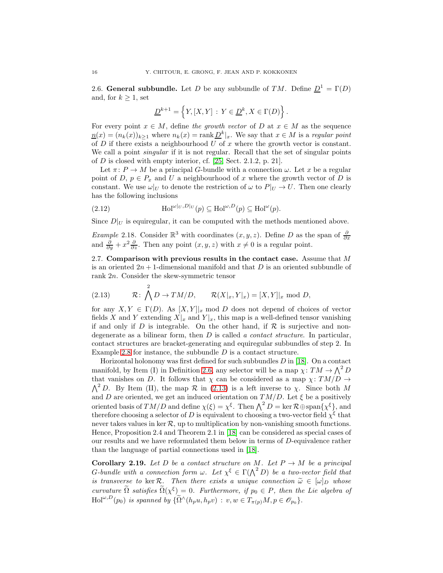<span id="page-15-0"></span>2.6. General subbundle. Let D be any subbundle of TM. Define  $\underline{D}^1 = \Gamma(D)$ and, for  $k \geq 1$ , set

$$
\underline{D}^{k+1} = \left\{Y, [X,Y] \, : \, Y \in \underline{D}^k, X \in \Gamma(D)\right\}.
$$

For every point  $x \in M$ , define the growth vector of D at  $x \in M$  as the sequence  $n(x) = (n_k(x))_{k \ge 1}$  where  $n_k(x) = \text{rank } D^k |_x$ . We say that  $x \in M$  is a regular point of  $D$  if there exists a neighbourhood  $U$  of  $x$  where the growth vector is constant. We call a point *singular* if it is not regular. Recall that the set of singular points of D is closed with empty interior, cf. [\[25,](#page-29-11) Sect. 2.1.2, p. 21].

Let  $\pi: P \to M$  be a principal G-bundle with a connection  $\omega$ . Let x be a regular point of D,  $p \in P_x$  and U a neighbourhood of x where the growth vector of D is constant. We use  $\omega|_U$  to denote the restriction of  $\omega$  to  $P|_U \to U$ . Then one clearly has the following inclusions

(2.12) 
$$
\text{Hol}^{\omega|_U, D|_U}(p) \subseteq \text{Hol}^{\omega, D}(p) \subseteq \text{Hol}^{\omega}(p).
$$

Since  $D|_U$  is equiregular, it can be computed with the methods mentioned above.

*Example 2.18.* Consider  $\mathbb{R}^3$  with coordinates  $(x, y, z)$ . Define D as the span of  $\frac{\partial}{\partial x}$  and  $\frac{\partial}{\partial y} + x^2 \frac{\partial}{\partial z}$ . Then any point  $(x, y, z)$  with  $x \neq 0$  is a regular point.

<span id="page-15-1"></span>2.7. Comparison with previous results in the contact case. Assume that  $M$ is an oriented  $2n + 1$ -dimensional manifold and that D is an oriented subbundle of rank 2n. Consider the skew-symmetric tensor

<span id="page-15-2"></span>(2.13) 
$$
\mathcal{R}: \bigwedge^2 D \to TM/D
$$
,  $\mathcal{R}(X|_x, Y|_x) = [X, Y]|_x \text{ mod } D$ ,

for any  $X, Y \in \Gamma(D)$ . As  $[X, Y]_{x}$  mod D does not depend of choices of vector fields X and Y extending  $X|_x$  and  $Y|_x$ , this map is a well-defined tensor vanishing if and only if D is integrable. On the other hand, if  $\mathcal R$  is surjective and nondegenerate as a bilinear form, then  $D$  is called a *contact structure*. In particular, contact structures are bracket-generating and equiregular subbundles of step 2. In Example [2.8](#page-6-1) for instance, the subbundle  $D$  is a contact structure.

Horizontal holonomy was first defined for such subbundles  $D$  in [\[18\]](#page-28-7). On a contact manifold, by Item (I) in Definition [2.6,](#page-5-0) any selector will be a map  $\chi: TM \to \Lambda^2 D$ that vanishes on D. It follows that  $\chi$  can be considered as a map  $\chi: TM/D \rightarrow$  $\Lambda^2 D$ . By Item (II), the map  $\mathcal R$  in [\(2.13\)](#page-15-2) is a left inverse to  $\chi$ . Since both M and D are oriented, we get an induced orientation on  $TM/D$ . Let  $\xi$  be a positively oriented basis of  $TM/D$  and define  $\chi(\xi) = \chi^{\xi}$ . Then  $\Lambda^2 D = \ker \mathcal{R} \oplus \mathrm{span}\{\chi^{\xi}\}\$ , and therefore choosing a selector of D is equivalent to choosing a two-vector field  $\chi^{\xi}$  that never takes values in ker  $\mathcal{R}$ , up to multiplication by non-vanishing smooth functions. Hence, Proposition 2.4 and Theorem 2.1 in [\[18\]](#page-28-7) can be considered as special cases of our results and we have reformulated them below in terms of D-equivalence rather than the language of partial connections used in [\[18\]](#page-28-7).

**Corollary 2.19.** Let D be a contact structure on M. Let  $P \rightarrow M$  be a principal G-bundle with a connection form  $\omega$ . Let  $\chi^{\xi} \in \Gamma(\bigwedge^2 D)$  be a two-vector field that is transverse to ker R. Then there exists a unique connection  $\tilde{\omega} \in [\omega]_D$  whose curvature  $\tilde{\Omega}$  satisfies  $\tilde{\Omega}(\chi^{\xi}) = 0$ . Furthermore, if  $p_0 \in P$ , then the Lie algebra of  $Hol^{\omega,D}(p_0)$  is spanned by  $\{\widetilde{\Omega} \wedge (h_p u, h_p v) : v, w \in T_{\pi(p)}M, p \in \mathscr{O}_{p_0}\}.$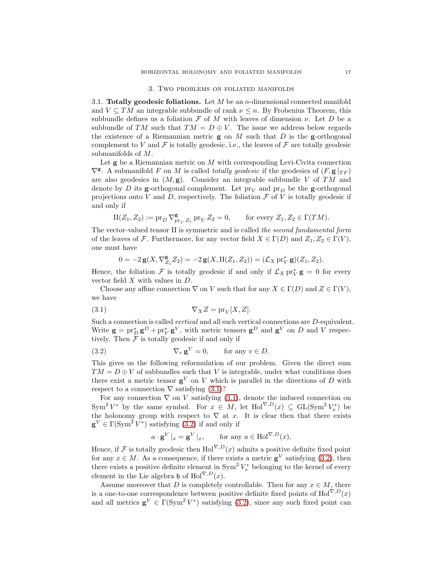#### 3. Two problems on foliated manifolds

<span id="page-16-1"></span><span id="page-16-0"></span>3.1. Totally geodesic foliations. Let  $M$  be an *n*-dimensional connected manifold and  $V \subseteq TM$  an integrable subbundle of rank  $\nu \leq n$ . By Frobenius Theorem, this subbundle defines us a foliation  $\mathcal F$  of  $M$  with leaves of dimension  $\nu$ . Let  $D$  be a subbundle of TM such that  $TM = D \oplus V$ . The issue we address below regards the existence of a Riemannian metric  $g$  on M such that D is the g-orthogonal complement to V and F is totally geodesic, i.e., the leaves of F are totally geodesic submanifolds of M.

Let  $g$  be a Riemannian metric on  $M$  with corresponding Levi-Civita connection  $\nabla^{\mathbf{g}}$ . A submanifold F on M is called totally geodesic if the geodesics of  $(F, \mathbf{g} |_{TF})$ are also geodesics in  $(M, g)$ . Consider an integrable subbundle V of TM and denote by D its g-orthogonal complement. Let  $pr_V$  and  $pr_D$  be the g-orthogonal projections onto V and D, respectively. The foliation  $\mathcal F$  of V is totally geodesic if and only if

$$
\mathrm{II}(Z_1, Z_2) := \mathrm{pr}_D \, \nabla_{\mathrm{pr}_V \, Z_1}^{\mathbf{g}} \, \mathrm{pr}_V \, Z_2 = 0, \qquad \text{for every } Z_1, Z_2 \in \Gamma(TM).
$$

The vector-valued tensor II is symmetric and is called the second fundamental form of the leaves of F. Furthermore, for any vector field  $X \in \Gamma(D)$  and  $Z_1, Z_2 \in \Gamma(V)$ , one must have

$$
0 = -2\mathbf{g}(X, \nabla_{Z_1}^{\mathbf{g}} Z_2) = -2\mathbf{g}(X, \mathrm{II}(Z_1, Z_2)) = (\mathcal{L}_X \operatorname{pr}_V^* \mathbf{g})(Z_1, Z_2).
$$

Hence, the foliation F is totally geodesic if and only if  $\mathcal{L}_X$   $\text{pr}_V^*$   $\mathbf{g} = 0$  for every vector field X with values in D.

<span id="page-16-2"></span>Choose any affine connection  $\nabla$  on V such that for any  $X \in \Gamma(D)$  and  $Z \in \Gamma(V)$ , we have

$$
\nabla_X Z = \text{pr}_V[X, Z].
$$

Such a connection is called *vertical* and all such vertical connections are *D*-equivalent. Write  $\mathbf{g} = \text{pr}_{D}^{*} \mathbf{g}^{D} + \text{pr}_{V}^{*} \mathbf{g}^{V}$ , with metric tensors  $\mathbf{g}^{D}$  and  $\mathbf{g}^{V}$  on D and V respectively. Then  $\tilde{\mathcal{F}}$  is totally geodesic if and only if

(3.2) 
$$
\nabla_v \mathbf{g}^V = 0, \quad \text{for any } v \in D.
$$

This gives us the following reformulation of our problem. Given the direct sum  $TM = D \oplus V$  of subbundles such that V is integrable, under what conditions does there exist a metric tensor  $\mathbf{g}^V$  on V which is parallel in the directions of D with respect to a connection  $\nabla$  satisfying  $(3.1)$ ?

For any connection  $\nabla$  on V satisfying [\(3.1\)](#page-16-2), denote the induced connection on  $\text{Sym}^2 V^*$  by the same symbol. For  $x \in M$ , let  $\text{Hol}^{\nabla,D}(x) \subseteq \text{GL}(\text{Sym}^2 V_x^*)$  be the holonomy group with respect to  $\nabla$  at x. It is clear then that there exists  $\mathbf{g}^V \in \Gamma(\mathrm{Sym}^2 V^*)$  satisfying [\(3.2\)](#page-16-3) if and only if

<span id="page-16-3"></span>
$$
a \cdot \mathbf{g}^V \vert_x = \mathbf{g}^V \vert_x
$$
, for any  $a \in \text{Hol}^{\nabla, D}(x)$ .

Hence, if  $\mathcal F$  is totally geodesic then  $\text{Hol}^{\nabla,D}(x)$  admits a positive definite fixed point for any  $x \in M$ . As a consequence, if there exists a metric  $\mathbf{g}^V$  satisfying [\(3.2\)](#page-16-3), then there exists a positive definite element in  $\text{Sym}^2 V_x^*$  belonging to the kernel of every element in the Lie algebra h of Hol $^{\nabla,D}(x)$ .

Assume moreover that D is completely controllable. Then for any  $x \in M$ , there is a one-to-one correspondence between positive definite fixed points of Hol $\nabla$ , $D(x)$ and all metrics  $\mathbf{g}^V \in \Gamma(\mathrm{Sym}^2 V^*)$  satisfying [\(3.2\)](#page-16-3), since any such fixed point can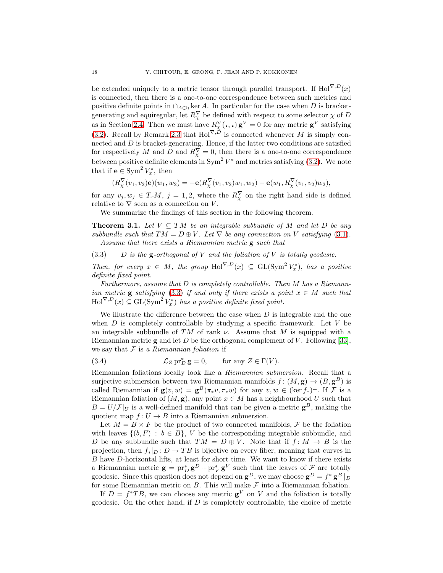be extended uniquely to a metric tensor through parallel transport. If Hol $\nabla$ , $D(x)$ is connected, then there is a one-to-one correspondence between such metrics and positive definite points in  $\cap_{A\in\mathfrak{h}}$  ker A. In particular for the case when D is bracketgenerating and equiregular, let  $R^{\nabla}_{\chi}$  be defined with respect to some selector  $\chi$  of  $D$ as in Section [2.4.](#page-13-0) Then we must have  $R_{\chi}^{\nabla}(\cdot, \cdot) \mathbf{g}^V = 0$  for any metric  $\mathbf{g}^V$  satisfying [\(3.2\)](#page-16-3). Recall by Remark 2.3 that  $Hol^{\nabla,D}$  is connected whenever M is simply connected and  $D$  is bracket-generating. Hence, if the latter two conditions are satisfied for respectively M and D and  $R_{\chi}^{\nabla} = 0$ , then there is a one-to-one correspondence between positive definite elements in  $Sym^2 V^*$  and metrics satisfying [\(3.2\)](#page-16-3). We note that if  $e \in \text{Sym}^2 V_x^*$ , then

<span id="page-17-0"></span>
$$
(R^{\nabla}_{\chi}(v_1, v_2)\mathbf{e})(w_1, w_2) = -\mathbf{e}(R^{\nabla}_{\chi}(v_1, v_2)w_1, w_2) - \mathbf{e}(w_1, R^{\nabla}_{\chi}(v_1, v_2)w_2),
$$

for any  $v_j, w_j \in T_xM$ ,  $j = 1, 2$ , where the  $R_\chi^{\nabla}$  on the right hand side is defined relative to  $\nabla$  seen as a connection on V.

We summarize the findings of this section in the following theorem.

<span id="page-17-2"></span>**Theorem 3.1.** Let  $V \subseteq TM$  be an integrable subbundle of M and let D be any subbundle such that  $TM = D \oplus V$ . Let  $\nabla$  be any connection on V satisfying [\(3.1\)](#page-16-2). Assume that there exists a Riemannian metric g such that

(3.3) D is the  $g$ -orthogonal of V and the foliation of V is totally geodesic.

Then, for every  $x \in M$ , the group  $\text{Hol}^{\nabla,D}(x) \subseteq \text{GL}(\text{Sym}^2 V_x^*)$ , has a positive definite fixed point.

Furthermore, assume that  $D$  is completely controllable. Then  $M$  has a Riemannian metric **g** satisfying [\(3.3\)](#page-17-0) if and only if there exists a point  $x \in M$  such that  $\text{Hol}^{\nabla,D}(x) \subseteq \text{GL}(\text{Sym}^2 V_x^*)$  has a positive definite fixed point.

We illustrate the difference between the case when  $D$  is integrable and the one when  $D$  is completely controllable by studying a specific framework. Let  $V$  be an integrable subbundle of TM of rank  $\nu$ . Assume that M is equipped with a Riemannian metric **g** and let D be the orthogonal complement of V. Following [\[33\]](#page-29-12), we say that  $F$  is a Riemannian foliation if

<span id="page-17-1"></span>(3.4) 
$$
\mathcal{L}_Z \operatorname{pr}_D^* \mathbf{g} = 0, \quad \text{for any } Z \in \Gamma(V).
$$

Riemannian foliations locally look like a Riemannian submersion. Recall that a surjective submersion between two Riemannian manifolds  $f: (M, \mathbf{g}) \to (B, \mathbf{g}^B)$  is called Riemannian if  $\mathbf{g}(v, w) = \mathbf{g}^{B}(\pi_* v, \pi_* w)$  for any  $v, w \in (\ker f_*)^{\perp}$ . If F is a Riemannian foliation of  $(M, \mathbf{g})$ , any point  $x \in M$  has a neighbourhood U such that  $B = U/\mathcal{F}|_U$  is a well-defined manifold that can be given a metric  $\mathbf{g}^B$ , making the quotient map  $f: U \to B$  into a Riemannian submersion.

Let  $M = B \times F$  be the product of two connected manifolds, F be the foliation with leaves  $\{(b, F) : b \in B\}$ , V be the corresponding integrable subbundle, and D be any subbundle such that  $TM = D \oplus V$ . Note that if  $f: M \to B$  is the projection, then  $f_*|_{D}: D \to TB$  is bijective on every fiber, meaning that curves in B have D-horizontal lifts, at least for short time. We want to know if there exists a Riemannian metric  $\mathbf{g} = \mathrm{pr}_D^* \mathbf{g}^D + \mathrm{pr}_V^* \mathbf{g}^V$  such that the leaves of  $\mathcal{F}$  are totally geodesic. Since this question does not depend on  $\mathbf{g}^D$ , we may choose  $\mathbf{g}^D = f^* \mathbf{g}^B \mid_D$ for some Riemannian metric on  $B$ . This will make  $\mathcal F$  into a Riemannian foliation.

If  $D = f^*TB$ , we can choose any metric  $g^V$  on V and the foliation is totally geodesic. On the other hand, if  $D$  is completely controllable, the choice of metric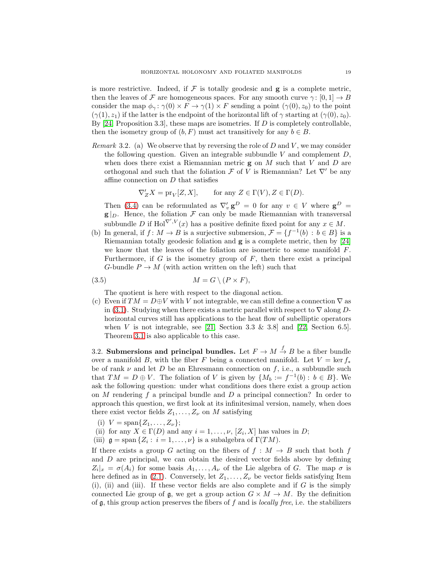is more restrictive. Indeed, if  $\mathcal F$  is totally geodesic and  $g$  is a complete metric, then the leaves of F are homogeneous spaces. For any smooth curve  $\gamma: [0, 1] \to B$ consider the map  $\phi_{\gamma} : \gamma(0) \times F \to \gamma(1) \times F$  sending a point  $(\gamma(0), z_0)$  to the point  $(\gamma(1), z_1)$  if the latter is the endpoint of the horizontal lift of  $\gamma$  starting at  $(\gamma(0), z_0)$ . By  $[24,$  Proposition 3.3, these maps are isometries. If D is completely controllable, then the isometry group of  $(b, F)$  must act transitively for any  $b \in B$ .

*Remark* 3.2. (a) We observe that by reversing the role of D and V, we may consider the following question. Given an integrable subbundle V and complement  $D$ , when does there exist a Riemannian metric  $g$  on  $M$  such that  $V$  and  $D$  are orthogonal and such that the foliation  $\mathcal F$  of V is Riemannian? Let  $\nabla'$  be any affine connection on D that satisfies

$$
\nabla'_Z X = \text{pr}_V[Z, X], \qquad \text{for any } Z \in \Gamma(V), Z \in \Gamma(D).
$$

Then [\(3.4\)](#page-17-1) can be reformulated as  $\nabla'_{v} \mathbf{g}^{D} = 0$  for any  $v \in V$  where  $\mathbf{g}^{D} =$  $g|_D$ . Hence, the foliation  $\mathcal F$  can only be made Riemannian with transversal subbundle D if Hol<sup> $\nabla', V(x)$ </sup> has a positive definite fixed point for any  $x \in M$ .

(b) In general, if  $f: M \to B$  is a surjective submersion,  $\mathcal{F} = \{f^{-1}(b) : b \in B\}$  is a Riemannian totally geodesic foliation and g is a complete metric, then by [\[24\]](#page-29-0) we know that the leaves of the foliation are isometric to some manifold  $F$ . Furthermore, if  $G$  is the isometry group of  $F$ , then there exist a principal G-bundle  $P \to M$  (with action written on the left) such that

$$
(3.5) \t\t M = G \setminus (P \times F),
$$

The quotient is here with respect to the diagonal action.

(c) Even if  $TM = D \oplus V$  with V not integrable, we can still define a connection  $\nabla$  as in [\(3.1\)](#page-16-2). Studying when there exists a metric parallel with respect to  $\nabla$  along Dhorizontal curves still has applications to the heat flow of subelliptic operators when V is not integrable, see [\[21,](#page-28-13) Section 3.3 & 3.8] and [\[22,](#page-28-14) Section 6.5]. Theorem [3.1](#page-17-2) is also applicable to this case.

<span id="page-18-0"></span>3.2. Submersions and principal bundles. Let  $F \to M \stackrel{f}{\to} B$  be a fiber bundle over a manifold B, with the fiber F being a connected manifold. Let  $V = \ker f_*$ be of rank  $\nu$  and let D be an Ehresmann connection on f, i.e., a subbundle such that  $TM = D \oplus V$ . The foliation of V is given by  $\{M_b := f^{-1}(b) : b \in B\}$ . We ask the following question: under what conditions does there exist a group action on M rendering f a principal bundle and  $D$  a principal connection? In order to approach this question, we first look at its infinitesimal version, namely, when does there exist vector fields  $Z_1, \ldots, Z_{\nu}$  on M satisfying

- (i)  $V = \text{span}\{Z_1, \ldots, Z_{\nu}\};$
- (ii) for any  $X \in \Gamma(D)$  and any  $i = 1, \ldots, \nu$ ,  $[Z_i, X]$  has values in D;
- (iii)  $\mathfrak{g} = \text{span} \{Z_i : i = 1, \ldots, \nu\}$  is a subalgebra of  $\Gamma(TM)$ .

If there exists a group G acting on the fibers of  $f : M \to B$  such that both f and D are principal, we can obtain the desired vector fields above by defining  $Z_i|_{x} = \sigma(A_i)$  for some basis  $A_1, \ldots, A_{\nu}$  of the Lie algebra of G. The map  $\sigma$  is here defined as in [\(2.1\)](#page-3-0). Conversely, let  $Z_1, \ldots, Z_{\nu}$  be vector fields satisfying Item (i), (ii) and (iii). If these vector fields are also complete and if  $G$  is the simply connected Lie group of  $\mathfrak{g}$ , we get a group action  $G \times M \to M$ . By the definition of  $\mathfrak g$ , this group action preserves the fibers of f and is *locally free*, i.e. the stabilizers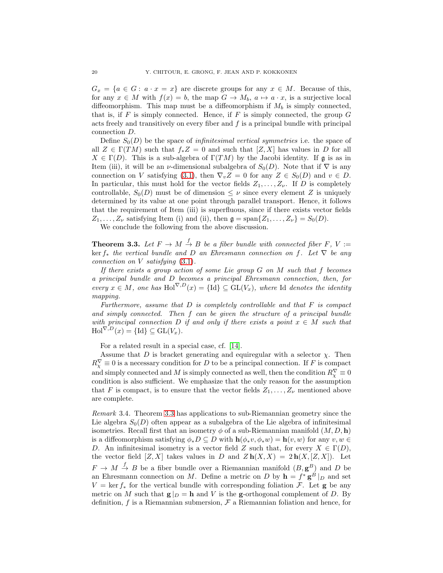$G_x = \{a \in G : a \cdot x = x\}$  are discrete groups for any  $x \in M$ . Because of this, for any  $x \in M$  with  $f(x) = b$ , the map  $G \to M_b$ ,  $a \mapsto a \cdot x$ , is a surjective local diffeomorphism. This map must be a diffeomorphism if  $M_b$  is simply connected, that is, if  $F$  is simply connected. Hence, if  $F$  is simply connected, the group  $G$ acts freely and transitively on every fiber and  $f$  is a principal bundle with principal connection D.

Define  $S_0(D)$  be the space of *infinitesimal vertical symmetries* i.e. the space of all  $Z \in \Gamma(TM)$  such that  $f_*Z = 0$  and such that  $[Z, X]$  has values in D for all  $X \in \Gamma(D)$ . This is a sub-algebra of  $\Gamma(TM)$  by the Jacobi identity. If g is as in Item (iii), it will be an *ν*-dimensional subalgebra of  $S_0(D)$ . Note that if  $\nabla$  is any connection on V satisfying [\(3.1\)](#page-16-2), then  $\nabla_v Z = 0$  for any  $Z \in S_0(D)$  and  $v \in D$ . In particular, this must hold for the vector fields  $Z_1, \ldots, Z_{\nu}$ . If D is completely controllable,  $S_0(D)$  must be of dimension  $\leq \nu$  since every element Z is uniquely determined by its value at one point through parallel transport. Hence, it follows that the requirement of Item (iii) is superfluous, since if there exists vector fields  $Z_1, \ldots, Z_{\nu}$  satisfying Item (i) and (ii), then  $\mathfrak{g} = \text{span}\{Z_1, \ldots, Z_{\nu}\} = S_0(D).$ 

We conclude the following from the above discussion.

<span id="page-19-0"></span>**Theorem 3.3.** Let  $F \to M \stackrel{f}{\to} B$  be a fiber bundle with connected fiber F, V := ker  $f_*$  the vertical bundle and D an Ehresmann connection on f. Let  $∇$  be any connection on V satisfying [\(3.1\)](#page-16-2).

If there exists a group action of some Lie group  $G$  on  $M$  such that  $f$  becomes a principal bundle and D becomes a principal Ehresmann connection, then, for every  $x \in M$ , one has  $\text{Hol}^{\nabla,D}(x) = \{\text{Id}\}\subset \text{GL}(V_x)$ , where Id denotes the identity mapping.

Furthermore, assume that  $D$  is completely controllable and that  $F$  is compact and simply connected. Then f can be given the structure of a principal bundle with principal connection D if and only if there exists a point  $x \in M$  such that  $\text{Hol}^{\nabla,D}(x) = {\text{Id}} \subseteq \text{GL}(V_x).$ 

For a related result in a special case, cf. [\[14\]](#page-28-23).

Assume that D is bracket generating and equiregular with a selector  $\chi$ . Then  $R_{\chi}^{\nabla} \equiv 0$  is a necessary condition for D to be a principal connection. If F is compact and simply connected and M is simply connected as well, then the condition  $R_{\chi}^{\nabla} \equiv 0$ condition is also sufficient. We emphasize that the only reason for the assumption that F is compact, is to ensure that the vector fields  $Z_1, \ldots, Z_{\nu}$  mentioned above are complete.

Remark 3.4. Theorem [3.3](#page-19-0) has applications to sub-Riemannian geometry since the Lie algebra  $S_0(D)$  often appear as a subalgebra of the Lie algebra of infinitesimal isometries. Recall first that an isometry  $\phi$  of a sub-Riemannian manifold  $(M, D, h)$ is a diffeomorphism satisfying  $\phi_*D \subseteq D$  with  $\mathbf{h}(\phi_*v, \phi_*w) = \mathbf{h}(v, w)$  for any  $v, w \in$ D. An infinitesimal isometry is a vector field Z such that, for every  $X \in \Gamma(D)$ , the vector field  $[Z, X]$  takes values in D and  $Z h(X, X) = 2 h(X, [Z, X])$ . Let  $F \to M \stackrel{f}{\to} B$  be a fiber bundle over a Riemannian manifold  $(B, g^B)$  and D be an Ehresmann connection on M. Define a metric on D by  $\mathbf{h} = f^* \mathbf{g}^B|_D$  and set  $V = \ker f_*$  for the vertical bundle with corresponding foliation F. Let **g** be any metric on M such that  $g|_D = h$  and V is the g-orthogonal complement of D. By definition, f is a Riemannian submersion,  $\mathcal F$  a Riemannian foliation and hence, for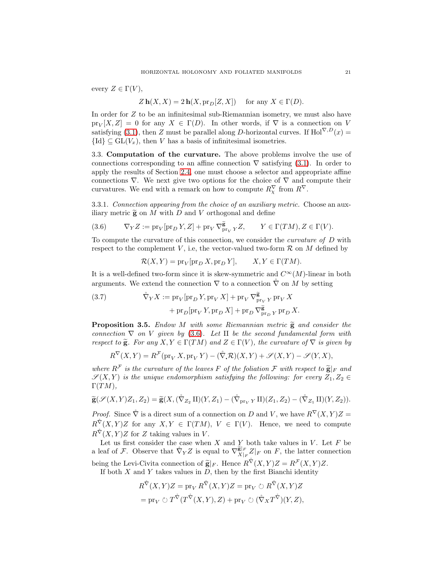every  $Z \in \Gamma(V)$ ,

$$
Z \mathbf{h}(X, X) = 2 \mathbf{h}(X, \text{pr}_D[Z, X])
$$
 for any  $X \in \Gamma(D)$ .

In order for Z to be an infinitesimal sub-Riemannian isometry, we must also have  $pr_V[X, Z] = 0$  for any  $X \in \Gamma(D)$ . In other words, if  $\nabla$  is a connection on V satisfying [\(3.1\)](#page-16-2), then Z must be parallel along D-horizontal curves. If Hol<sup> $\nabla, D(x) =$ </sup>  ${Id} \subset GL(V_x)$ , then V has a basis of infinitesimal isometries.

<span id="page-20-0"></span>3.3. Computation of the curvature. The above problems involve the use of connections corresponding to an affine connection  $\nabla$  satisfying [\(3.1\)](#page-16-2). In order to apply the results of Section [2.4,](#page-13-0) one must choose a selector and appropriate affine connections  $\nabla$ . We next give two options for the choice of  $\nabla$  and compute their curvatures. We end with a remark on how to compute  $R_{\chi}^{\nabla}$  from  $R^{\nabla}$ .

3.3.1. Connection appearing from the choice of an auxiliary metric. Choose an auxiliary metric  $\tilde{\mathbf{g}}$  on M with D and V orthogonal and define

(3.6) 
$$
\nabla_Y Z := \text{pr}_V[\text{pr}_D Y, Z] + \text{pr}_V \nabla_{\text{pr}_V}^{\widetilde{\mathbf{g}}} Y, \qquad Y \in \Gamma(TM), Z \in \Gamma(V).
$$

To compute the curvature of this connection, we consider the curvature of D with respect to the complement V, i.e, the vector-valued two-form  $\mathcal R$  on M defined by

<span id="page-20-1"></span>
$$
\mathcal{R}(X,Y) = \text{pr}_{V}[\text{pr}_{D} X, \text{pr}_{D} Y], \qquad X, Y \in \Gamma(TM).
$$

It is a well-defined two-form since it is skew-symmetric and  $C^{\infty}(M)$ -linear in both arguments. We extend the connection  $\nabla$  to a connection  $\nabla$  on M by setting

(3.7) 
$$
\tilde{\nabla}_Y X := \text{pr}_V[\text{pr}_D Y, \text{pr}_V X] + \text{pr}_V \nabla^{\tilde{\mathbf{g}}}_{\text{pr}_V Y} \text{pr}_V X + \text{pr}_D[\text{pr}_V Y, \text{pr}_D X] + \text{pr}_D \nabla^{\tilde{\mathbf{g}}}_{\text{pr}_D Y} \text{pr}_D X.
$$

**Proposition 3.5.** Endow M with some Riemannian metric  $\tilde{g}$  and consider the connection  $\nabla$  on V given by [\(3.6\)](#page-20-1). Let II be the second fundamental form with respect to  $\tilde{\mathbf{g}}$ . For any  $X, Y \in \Gamma(TM)$  and  $Z \in \Gamma(V)$ , the curvature of  $\nabla$  is given by

$$
R^{\nabla}(X,Y) = R^{\mathcal{F}}(\text{pr}_{V} X, \text{pr}_{V} Y) - (\mathring{\nabla} \cdot \mathcal{R})(X,Y) + \mathscr{S}(X,Y) - \mathscr{S}(Y,X),
$$

where  $R^{\mathcal{F}}$  is the curvature of the leaves F of the foliation F with respect to  $\widetilde{\mathbf{g}}|_{F}$  and  $\mathscr{S}(X,Y)$  is the unique endomorphism satisfying the following: for every  $Z_1, Z_2 \in$  $\Gamma(TM),$ 

$$
\widetilde{\mathbf{g}}(\mathscr{S}(X,Y)Z_1,Z_2)=\widetilde{\mathbf{g}}(X,(\mathring{\nabla}_{Z_2} \Pi)(Y,Z_1)-(\mathring{\nabla}_{\text{pr}_V} \Pi)(Z_1,Z_2)-(\mathring{\nabla}_{Z_1} \Pi)(Y,Z_2)).
$$

*Proof.* Since  $\hat{\nabla}$  is a direct sum of a connection on D and V, we have  $R^{\nabla}(X, Y)Z =$  $R^{\tilde{\nabla}}(X,Y)Z$  for any  $X,Y \in \Gamma(TM)$ ,  $V \in \Gamma(V)$ . Hence, we need to compute  $R^{\mathring{\nabla}}(X,Y)Z$  for Z taking values in V.

Let us first consider the case when X and  $\overline{Y}$  both take values in V. Let F be a leaf of F. Observe that  $\tilde{\nabla}_Y Z$  is equal to  $\nabla_{X|_F}^{\tilde{\mathbf{g}}|_F} Z|_F$  on F, the latter connection being the Levi-Civita connection of  $\widetilde{\mathbf{g}}|_F$ . Hence  $R^{\overline{\nabla}}(X,Y)Z = R^{\mathcal{F}}(X,Y)Z$ .

If both  $X$  and  $Y$  takes values in  $D$ , then by the first Bianchi identity

$$
R^{\tilde{\nabla}}(X,Y)Z = \text{pr}_{V} R^{\tilde{\nabla}}(X,Y)Z = \text{pr}_{V} \circlearrowright R^{\tilde{\nabla}}(X,Y)Z
$$

$$
= \text{pr}_{V} \circlearrowright T^{\tilde{\nabla}}(T^{\tilde{\nabla}}(X,Y),Z) + \text{pr}_{V} \circlearrowright (\tilde{\nabla}_{X} T^{\tilde{\nabla}})(Y,Z),
$$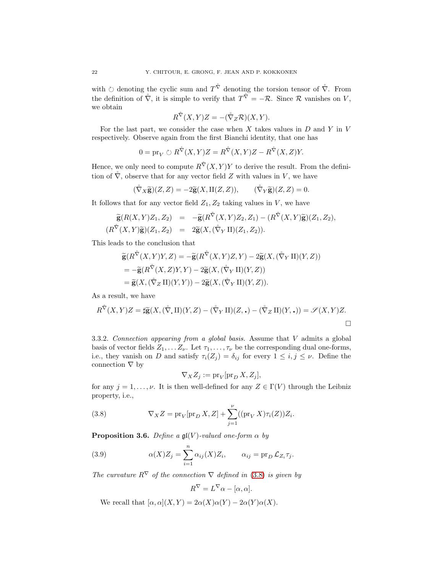with  $\circlearrowright$  denoting the cyclic sum and  $T^{\mathring{ \nabla}}$  denoting the torsion tensor of  $\mathring{ \nabla}$ . From the definition of  $\mathring{\nabla}$ , it is simple to verify that  $T\mathring{\nabla} = -\mathcal{R}$ . Since  $\mathcal R$  vanishes on V, we obtain

$$
R^{\mathring{\nabla}}(X,Y)Z = -(\mathring{\nabla}_Z \mathcal{R})(X,Y).
$$

For the last part, we consider the case when  $X$  takes values in  $D$  and  $Y$  in  $V$ respectively. Observe again from the first Bianchi identity, that one has

$$
0 = \text{pr}_{V} \circlearrowright R^{\tilde{\nabla}}(X, Y)Z = R^{\tilde{\nabla}}(X, Y)Z - R^{\tilde{\nabla}}(X, Z)Y.
$$

Hence, we only need to compute  $R^{\hat{\nabla}}(X,Y)Y$  to derive the result. From the definition of  $\hat{\nabla}$ , observe that for any vector field Z with values in V, we have

$$
(\mathring{\nabla}_X \widetilde{\mathbf{g}})(Z, Z) = -2\widetilde{\mathbf{g}}(X, \Pi(Z, Z)), \qquad (\mathring{\nabla}_Y \widetilde{\mathbf{g}})(Z, Z) = 0.
$$

It follows that for any vector field  $Z_1, Z_2$  taking values in V, we have

$$
\widetilde{\mathbf{g}}(R(X,Y)Z_1,Z_2) = -\widetilde{\mathbf{g}}(R^{\widetilde{\nabla}}(X,Y)Z_2,Z_1) - (R^{\widetilde{\nabla}}(X,Y)\widetilde{\mathbf{g}})(Z_1,Z_2),
$$
  
\n
$$
(R^{\widetilde{\nabla}}(X,Y)\widetilde{\mathbf{g}})(Z_1,Z_2) = 2\widetilde{\mathbf{g}}(X,(\widetilde{\nabla}_Y\Pi)(Z_1,Z_2)).
$$

This leads to the conclusion that

$$
\tilde{\mathbf{g}}(R^{\tilde{\nabla}}(X,Y)Y,Z) = -\tilde{\mathbf{g}}(R^{\tilde{\nabla}}(X,Y)Z,Y) - 2\tilde{\mathbf{g}}(X,(\tilde{\nabla}_Y\Pi)(Y,Z)) \n= -\tilde{\mathbf{g}}(R^{\tilde{\nabla}}(X,Z)Y,Y) - 2\tilde{\mathbf{g}}(X,(\tilde{\nabla}_Y\Pi)(Y,Z)) \n= \tilde{\mathbf{g}}(X,(\tilde{\nabla}_Z\Pi)(Y,Y)) - 2\tilde{\mathbf{g}}(X,(\tilde{\nabla}_Y\Pi)(Y,Z)).
$$

As a result, we have

$$
R^{\mathring{\nabla}}(X,Y)Z = \sharp \widetilde{\mathbf{g}}(X,(\mathring{\nabla},\Pi)(Y,Z) - (\mathring{\nabla}_Y \Pi)(Z,\cdot) - (\mathring{\nabla}_Z \Pi)(Y,\cdot)) = \mathscr{S}(X,Y)Z.
$$

3.3.2. Connection appearing from a global basis. Assume that V admits a global basis of vector fields  $Z_1, \ldots Z_{\nu}$ . Let  $\tau_1, \ldots, \tau_{\nu}$  be the corresponding dual one-forms, i.e., they vanish on D and satisfy  $\tau_i(Z_j) = \delta_{ij}$  for every  $1 \leq i, j \leq \nu$ . Define the connection  $\nabla$  by

$$
\nabla_X Z_j := \mathrm{pr}_V[\mathrm{pr}_D X, Z_j],
$$

for any  $j = 1, \ldots, \nu$ . It is then well-defined for any  $Z \in \Gamma(V)$  through the Leibniz property, i.e.,

<span id="page-21-0"></span>(3.8) 
$$
\nabla_X Z = \text{pr}_V[\text{pr}_D X, Z] + \sum_{j=1}^{\nu} ((\text{pr}_V X)\tau_i(Z))Z_i.
$$

<span id="page-21-2"></span>**Proposition 3.6.** Define a  $\mathfrak{gl}(V)$ -valued one-form  $\alpha$  by

(3.9) 
$$
\alpha(X)Z_j = \sum_{i=1}^n \alpha_{ij}(X)Z_i, \qquad \alpha_{ij} = \text{pr}_D \mathcal{L}_{Z_i} \tau_j.
$$

The curvature  $R^{\nabla}$  of the connection  $\nabla$  defined in [\(3.8\)](#page-21-0) is given by

<span id="page-21-1"></span>
$$
R^{\nabla} = L^{\nabla} \alpha - [\alpha, \alpha].
$$

We recall that  $[\alpha, \alpha](X, Y) = 2\alpha(X)\alpha(Y) - 2\alpha(Y)\alpha(X)$ .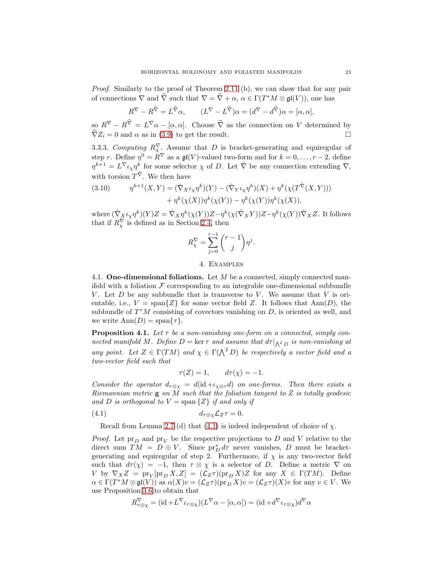Proof. Similarly to the proof of Theorem [2.11](#page-9-2) (b), we can show that for any pair of connections  $\nabla$  and  $\overline{\nabla}$  such that  $\nabla = \overline{\nabla} + \alpha$ ,  $\alpha \in \Gamma(T^*M \otimes \mathfrak{gl}(V))$ , one has

$$
R^{\nabla} - R^{\widetilde{\nabla}} = L^{\widetilde{\nabla}} \alpha, \qquad (L^{\nabla} - L^{\widetilde{\nabla}}) \alpha = (d^{\nabla} - d^{\widetilde{\nabla}}) \alpha = [\alpha, \alpha],
$$

 $\int_{\infty}^{\infty} R^{\nabla} - R^{\nabla} = L^{\nabla} \alpha - [\alpha, \alpha].$  Choose  $\overline{\nabla}$  as the connection on V determined by  $\widetilde{\nabla}Z_i = 0$  and  $\alpha$  as in [\(3.9\)](#page-21-1) to get the result.

3.3.3. Computing  $R_{\chi}^{\nabla}$ . Assume that D is bracket-generating and equiregular of step r. Define  $\eta^0 = R^{\nabla}$  as a  $\mathfrak{gl}(V)$ -valued two-form and for  $k = 0, \ldots, r-2$ , define  $\eta^{k+1} = L^{\nabla} \iota_{\chi} \eta^k$  for some selector  $\chi$  of D. Let  $\mathring{\nabla}$  be any connection extending  $\nabla$ , with torsion  $T^{\mathring{\nabla}}$ . We then have

<span id="page-22-4"></span>(3.10) 
$$
\eta^{k+1}(X,Y) = (\mathring{\nabla}_X \iota_X \eta^k)(Y) - (\mathring{\nabla}_Y \iota_X \eta^k)(X) + \eta^k(\chi(T^{\mathring{\nabla}}(X,Y))) + \eta^k(\chi(X))\eta^k(\chi(Y)) - \eta^k(\chi(Y))\eta^k(\chi(X)),
$$

where  $(\mathring{\nabla}_X \iota_\chi \eta^k)(Y)Z = \mathring{\nabla}_X \eta^k(\chi(Y))Z - \eta^k(\chi(\mathring{\nabla}_X Y))Z - \eta^k(\chi(Y))\mathring{\nabla}_X Z$ . It follows that if  $R_{\chi}^{\nabla}$  is defined as in Section [2.4,](#page-13-0) then

$$
R_{\chi}^{\nabla} = \sum_{j=0}^{r-1} {r-1 \choose j} \eta^j.
$$

4. Examples

<span id="page-22-1"></span><span id="page-22-0"></span>4.1. **One-dimensional foliations.** Let  $M$  be a connected, simply connected manifold with a foliation  $\mathcal F$  corresponding to an integrable one-dimensional subbundle V. Let  $D$  be any subbundle that is transverse to V. We assume that V is orientable, i.e.,  $V = \text{span}\{Z\}$  for some vector field Z. It follows that  $\text{Ann}(D)$ , the subbundle of  $T^*M$  consisting of covectors vanishing on  $D$ , is oriented as well, and we write  $\text{Ann}(D) = \text{span}\{\tau\}.$ 

<span id="page-22-3"></span>**Proposition 4.1.** Let  $\tau$  be a non-vanishing one-form on a connected, simply connected manifold M. Define  $D = \ker \tau$  and assume that  $d\tau|_{\Lambda^2 D}$  is non-vanishing at any point. Let  $Z \in \Gamma(TM)$  and  $\chi \in \Gamma(\Lambda^2 D)$  be respectively a vector field and a two-vector field such that

<span id="page-22-2"></span>
$$
\tau(Z) = 1, \qquad d\tau(\chi) = -1.
$$

Consider the operator  $d_{\tau \otimes \chi} = d(\mathrm{id} + \iota_{\chi \otimes \tau} d)$  on one-forms. Then there exists a Riemannian metric  $g$  on  $M$  such that the foliation tangent to  $Z$  is totally geodesic and D is orthogonal to  $V = \text{span} \{Z\}$  if and only if

$$
(4.1) \t\t d_{\tau\otimes\chi}\mathcal{L}_Z\tau=0.
$$

Recall from Lemma 2.7 (d) that [\(4.1\)](#page-22-2) is indeed independent of choice of  $\chi$ .

*Proof.* Let  $pr_D$  and  $pr_V$  be the respective projections to D and V relative to the direct sum  $TM = D \oplus V$ . Since  $pr_D^* d\tau$  never vanishes, D must be bracketgenerating and equiregular of step 2. Furthermore, if  $\chi$  is any two-vector field such that  $d\tau(x) = -1$ , then  $\tau \otimes \chi$  is a selector of D. Define a metric  $\nabla$  on V by  $\nabla_X Z = \text{pr}_V[\text{pr}_D X, Z] = (\mathcal{L}_Z \tau)(\text{pr}_D X)Z$  for any  $X \in \Gamma(TM)$ . Define  $\alpha \in \Gamma(T^*M \otimes \mathfrak{gl}(V))$  as  $\alpha(X)v = (\mathcal{L}_Z\tau)(\text{pr}_DX)v = (\mathcal{L}_Z\tau)(X)v$  for any  $v \in V$ . We use Proposition [3.6](#page-21-2) to obtain that

$$
R^{\nabla}_{\tau \otimes \chi} = (\mathrm{id} + L^{\nabla} \iota_{\tau \otimes \chi})(L^{\nabla} \alpha - [\alpha, \alpha]) = (\mathrm{id} + d^{\nabla} \iota_{\tau \otimes \chi})d^{\nabla} \alpha
$$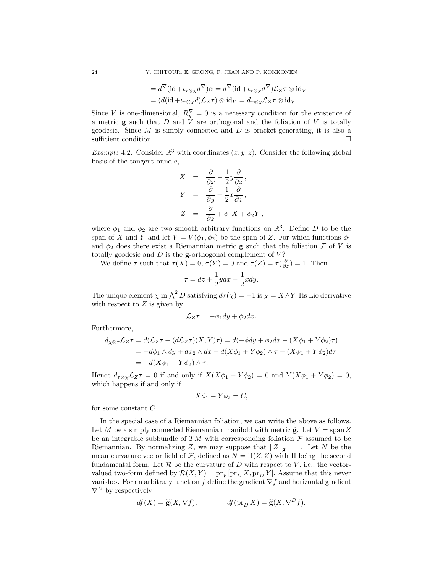$$
=d^{\nabla}(\mathrm{id}+\iota_{\tau\otimes\chi}d^{\nabla})\alpha=d^{\nabla}(\mathrm{id}+\iota_{\tau\otimes\chi}d^{\nabla})\mathcal{L}_Z\tau\otimes\mathrm{id}_V
$$
  

$$
=(d(\mathrm{id}+\iota_{\tau\otimes\chi}d)\mathcal{L}_Z\tau)\otimes\mathrm{id}_V=d_{\tau\otimes\chi}\mathcal{L}_Z\tau\otimes\mathrm{id}_V.
$$

Since V is one-dimensional,  $R_{\chi}^{\nabla} = 0$  is a necessary condition for the existence of a metric  $g$  such that  $D$  and  $V$  are orthogonal and the foliation of  $V$  is totally geodesic. Since  $M$  is simply connected and  $D$  is bracket-generating, it is also a sufficient condition.  $\Box$ 

*Example* 4.2. Consider  $\mathbb{R}^3$  with coordinates  $(x, y, z)$ . Consider the following global basis of the tangent bundle,

$$
X = \frac{\partial}{\partial x} - \frac{1}{2}y\frac{\partial}{\partial z},
$$
  
\n
$$
Y = \frac{\partial}{\partial y} + \frac{1}{2}x\frac{\partial}{\partial z},
$$
  
\n
$$
Z = \frac{\partial}{\partial z} + \phi_1 X + \phi_2 Y,
$$

where  $\phi_1$  and  $\phi_2$  are two smooth arbitrary functions on  $\mathbb{R}^3$ . Define D to be the span of X and Y and let  $V = V(\phi_1, \phi_2)$  be the span of Z. For which functions  $\phi_1$ and  $\phi_2$  does there exist a Riemannian metric **g** such that the foliation  $\mathcal F$  of  $V$  is totally geodesic and  $D$  is the g-orthogonal complement of  $V$ ?

We define  $\tau$  such that  $\tau(X) = 0$ ,  $\tau(Y) = 0$  and  $\tau(Z) = \tau(\frac{\partial}{\partial z}) = 1$ . Then

$$
\tau = dz + \frac{1}{2}ydx - \frac{1}{2}xdy.
$$

The unique element  $\chi$  in  $\bigwedge^2 D$  satisfying  $d\tau(\chi) = -1$  is  $\chi = X \wedge Y$ . Its Lie derivative with respect to  $Z$  is given by

$$
\mathcal{L}_Z \tau = -\phi_1 dy + \phi_2 dx.
$$

Furthermore,

$$
d_{\chi\otimes\tau}\mathcal{L}_Z\tau = d(\mathcal{L}_Z\tau + (d\mathcal{L}_Z\tau)(X, Y)\tau) = d(-\phi dy + \phi_2 dx - (X\phi_1 + Y\phi_2)\tau)
$$
  
=  $-d\phi_1 \wedge dy + d\phi_2 \wedge dx - d(X\phi_1 + Y\phi_2) \wedge \tau - (X\phi_1 + Y\phi_2)d\tau$   
=  $-d(X\phi_1 + Y\phi_2) \wedge \tau$ .

Hence  $d_{\tau\otimes\chi}\mathcal{L}_Z\tau=0$  if and only if  $X(X\phi_1+Y\phi_2)=0$  and  $Y(X\phi_1+Y\phi_2)=0$ , which happens if and only if

$$
X\phi_1 + Y\phi_2 = C,
$$

for some constant C.

In the special case of a Riemannian foliation, we can write the above as follows. Let M be a simply connected Riemannian manifold with metric  $\tilde{\mathbf{g}}$ . Let  $V = \text{span } Z$ be an integrable subbundle of TM with corresponding foliation  $\mathcal F$  assumed to be Riemannian. By normalizing Z, we may suppose that  $||Z||_{\widetilde{\mathbf{g}}} = 1$ . Let N be the mean curvature vector field of F, defined as  $N = \text{II}(Z, Z)$  with II being the second fundamental form. Let  $R$  be the curvature of  $D$  with respect to  $V$ , i.e., the vectorvalued two-form defined by  $\mathcal{R}(X,Y) = \text{pr}_V[\text{pr}_D X, \text{pr}_D Y]$ . Assume that this never vanishes. For an arbitrary function f define the gradient  $\nabla f$  and horizontal gradient  $\nabla^D$  by respectively

$$
df(X) = \widetilde{\mathbf{g}}(X, \nabla f), \qquad df(\operatorname{pr}_D X) = \widetilde{\mathbf{g}}(X, \nabla^D f).
$$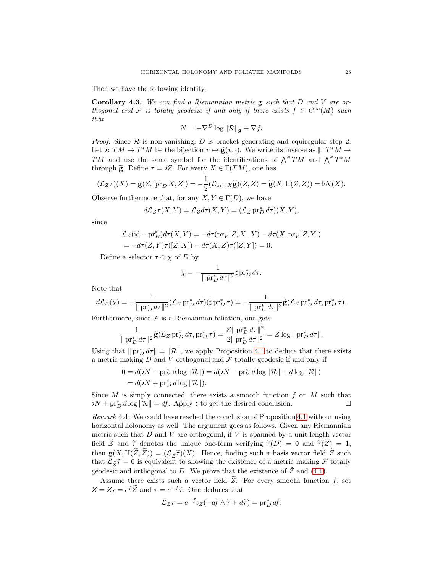Then we have the following identity.

Corollary 4.3. We can find a Riemannian metric  $g$  such that D and V are orthogonal and F is totally geodesic if and only if there exists  $f \in C^{\infty}(M)$  such that

$$
N = -\nabla^D \log \|\mathcal{R}\|_{\widetilde{\mathbf{g}}} + \nabla f.
$$

*Proof.* Since  $\mathcal R$  is non-vanishing, D is bracket-generating and equiregular step 2. Let  $\flat: TM \to T^*M$  be the bijection  $v \mapsto \widetilde{\mathbf{g}}(v, \cdot)$ . We write its inverse as  $\sharp: T^*M \to T^*M$ TM and use the same symbol for the identifications of  $\bigwedge^k TM$  and  $\bigwedge^k T^*M$ through  $\tilde{\mathbf{g}}$ . Define  $\tau = \tilde{b}Z$ . For every  $X \in \Gamma(TM)$ , one has

$$
(\mathcal{L}_Z \tau)(X) = \mathbf{g}(Z, [\text{pr}_D X, Z]) = -\frac{1}{2} (\mathcal{L}_{\text{pr}_D X} \widetilde{\mathbf{g}})(Z, Z) = \widetilde{\mathbf{g}}(X, \Pi(Z, Z)) = \flat N(X).
$$

Observe furthermore that, for any  $X, Y \in \Gamma(D)$ , we have

$$
d\mathcal{L}_Z\tau(X,Y) = \mathcal{L}_Z d\tau(X,Y) = (\mathcal{L}_Z \operatorname{pr}_D^* d\tau)(X,Y),
$$

since

$$
\mathcal{L}_Z(\text{id} - \text{pr}_D^*)d\tau(X, Y) = -d\tau(\text{pr}_V[Z, X], Y) - d\tau(X, \text{pr}_V[Z, Y])
$$
  
= 
$$
-d\tau(Z, Y)\tau([Z, X]) - d\tau(X, Z)\tau([Z, Y]) = 0.
$$

Define a selector  $\tau \otimes \chi$  of D by

$$
\chi = -\frac{1}{\|\operatorname{pr}_D^* d\tau\|^2} \sharp \operatorname{pr}_D^* d\tau.
$$

Note that

$$
d\mathcal{L}_Z(\chi) = -\frac{1}{\|\operatorname{pr}_D^* d\tau\|^2} (\mathcal{L}_Z \operatorname{pr}_D^* d\tau) (\sharp \operatorname{pr}_D^* \tau) = -\frac{1}{\|\operatorname{pr}_D^* d\tau\|^2} \widetilde{\mathbf{g}} (\mathcal{L}_Z \operatorname{pr}_D^* d\tau, \operatorname{pr}_D^* \tau).
$$

Furthermore, since  $\mathcal F$  is a Riemannian foliation, one gets

$$
\frac{1}{\|\operatorname{pr}_{D}^{*} d\tau\|^{2}} \widetilde{\mathbf{g}}(\mathcal{L}_{Z} \operatorname{pr}_{D}^{*} d\tau, \operatorname{pr}_{D}^{*} \tau) = \frac{Z \|\operatorname{pr}_{D}^{*} d\tau\|^{2}}{2 \|\operatorname{pr}_{D}^{*} d\tau\|^{2}} = Z \log \|\operatorname{pr}_{D}^{*} d\tau\|.
$$

Using that  $\|\operatorname{pr}_{D}^{*} d\tau\| = \|\mathcal{R}\|$ , we apply Proposition [4.1](#page-22-3) to deduce that there exists a metric making  $D$  and  $V$  orthogonal and  $\mathcal F$  totally geodesic if and only if

$$
0 = d(bN - \text{pr}_{V}^{*} d \log ||\mathcal{R}||) = d(bN - \text{pr}_{V}^{*} d \log ||\mathcal{R}|| + d \log ||\mathcal{R}||)
$$
  
=  $d(bN + \text{pr}_{D}^{*} d \log ||\mathcal{R}||).$ 

Since  $M$  is simply connected, there exists a smooth function  $f$  on  $M$  such that  $bN + pr_D^* d \log ||\mathcal{R}|| = df$ . Apply  $\sharp$  to get the desired conclusion.

Remark 4.4. We could have reached the conclusion of Proposition [4.1](#page-22-3) without using horizontal holonomy as well. The argument goes as follows. Given any Riemannian metric such that  $D$  and  $V$  are orthogonal, if  $V$  is spanned by a unit-length vector field Z and  $\tilde{\tau}$  denotes the unique one-form verifying  $\tilde{\tau}(D) = 0$  and  $\tilde{\tau}(Z) = 1$ , then  $\mathbf{g}(X,\Pi(\widetilde{Z},\widetilde{Z})) = (\mathcal{L}_{\widetilde{Z}}\widetilde{T})(X)$ . Hence, finding such a basis vector field  $\widetilde{Z}$  such that  $\mathcal{L}_{\tilde{Z}}\tilde{\tau}=0$  is equivalent to showing the existence of a metric making  $\mathcal F$  totally geodesic and orthogonal to D. We prove that the existence of  $\tilde{Z}$  and [\(4.1\)](#page-22-2).

Assume there exists such a vector field  $\tilde{Z}$ . For every smooth function f, set  $Z = Z_f = e^f \widetilde{Z}$  and  $\tau = e^{-f} \widetilde{\tau}$ . One deduces that

$$
\mathcal{L}_Z \tau = e^{-f} \iota_Z(-df \wedge \widetilde{\tau} + d\widetilde{\tau}) = \operatorname{pr}_D^* df.
$$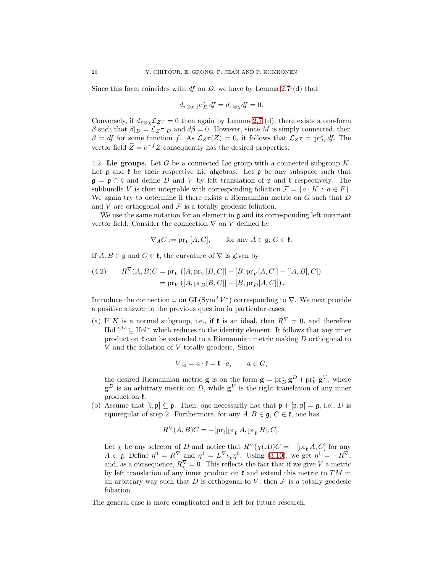Since this form coincides with  $df$  on  $D$ , we have by Lemma 2.7 (d) that

$$
d_{\tau \otimes \chi} \operatorname{pr}_{D}^{*} df = d_{\tau \otimes \chi} df = 0.
$$

Conversely, if  $d_{\tau \otimes \chi} \mathcal{L}_Z \tau = 0$  then again by Lemma 2.7 (d), there exists a one-form β such that  $β|_D = \mathcal{L}_Z τ|_D$  and  $dβ = 0$ . However, since M is simply connected, then  $\beta = df$  for some function f. As  $\mathcal{L}_Z \tau(Z) = 0$ , it follows that  $\mathcal{L}_Z \tau = \text{pr}_D^* df$ . The vector field  $\tilde{Z} = e^{-f} Z$  consequently has the desired properties.

<span id="page-25-0"></span>4.2. Lie groups. Let  $G$  be a connected Lie group with a connected subgroup  $K$ . Let  $\mathfrak g$  and  $\mathfrak k$  be their respective Lie algebras. Let  $\mathfrak p$  be any subspace such that  $\mathfrak{g} = \mathfrak{p} \oplus \mathfrak{k}$  and define D and V by left translation of  $\mathfrak{p}$  and  $\mathfrak{k}$  respectively. The subbundle V is then integrable with corresponding foliation  $\mathcal{F} = \{a \cdot K : a \in F\}.$ We again try to determine if there exists a Riemannian metric on  $G$  such that  $D$ and  $V$  are orthogonal and  $\mathcal F$  is a totally geodesic foliation.

We use the same notation for an element in  $\mathfrak g$  and its corresponding left invariant vector field. Consider the connection  $\nabla$  on V defined by

$$
\nabla_A C := \text{pr}_V[A, C], \qquad \text{for any } A \in \mathfrak{g}, C \in \mathfrak{k}.
$$

If  $A, B \in \mathfrak{g}$  and  $C \in \mathfrak{k}$ , the curvature of  $\nabla$  is given by

(4.2) 
$$
R^{\nabla}(A, B)C = \text{pr}_{V}([A, \text{pr}_{V}[B, C]] - [B, \text{pr}_{V}[A, C]] - [[A, B], C])
$$

$$
= \text{pr}_{V}([A, \text{pr}_{D}[B, C]] - [B, \text{pr}_{D}[A, C]]).
$$

Introduce the connection  $\omega$  on  $GL(Sym^2 V^*)$  corresponding to  $\nabla$ . We next provide a positive answer to the previous question in particular cases.

(a) If K is a normal subgroup, i.e., if  $\mathfrak{k}$  is an ideal, then  $R^{\nabla} = 0$ , and therefore  $Hol^{\omega,D} \subset Hol^{\omega}$  which reduces to the identity element. It follows that any inner product on  $\mathfrak k$  can be extended to a Riemannian metric making D orthogonal to V and the foliation of V totally geodesic. Since

$$
V|_a = a \cdot \mathfrak{k} = \mathfrak{k} \cdot a, \qquad a \in G,
$$

the desired Riemannian metric **g** is on the form  $\mathbf{g} = \text{pr}_D^* \mathbf{g}^D + \text{pr}_V^* \mathbf{g}^V$ , where  $\mathbf{g}^D$  is an arbitrary metric on D, while  $\mathbf{g}^V$  is the right translation of any inner product on  $\mathfrak{k}$ .

(b) Assume that  $[\mathfrak{k}, \mathfrak{p}] \subseteq \mathfrak{p}$ . Then, one necessarily has that  $\mathfrak{p} + [\mathfrak{p}, \mathfrak{p}] = \mathfrak{g}$ , i.e., D is equiregular of step 2. Furthermore, for any  $A, B \in \mathfrak{g}, C \in \mathfrak{k}$ , one has

$$
R^{\nabla}(A, B)C = -[\text{pr}_{\mathfrak{k}}[\text{pr}_{\mathfrak{p}} A, \text{pr}_{\mathfrak{p}} B], C].
$$

Let  $\chi$  be any selector of D and notice that  $R^{\nabla}(\chi(A))C = -[\text{pr}_{\mathfrak{k}} A, C]$  for any  $A \in \mathfrak{g}$ . Define  $\eta^0 = R^{\nabla}$  and  $\eta^1 = L^{\nabla} \iota_{\chi} \eta^0$ . Using [\(3.10\)](#page-22-4), we get  $\eta^1 = -R^{\nabla}$ , and, as a consequence,  $R_{\chi}^{\nabla} = 0$ . This reflects the fact that if we give V a metric by left translation of any inner product on  $\mathfrak k$  and extend this metric to TM in an arbitrary way such that  $D$  is orthogonal to  $V$ , then  $\mathcal F$  is a totally geodesic foliation.

The general case is more complicated and is left for future research.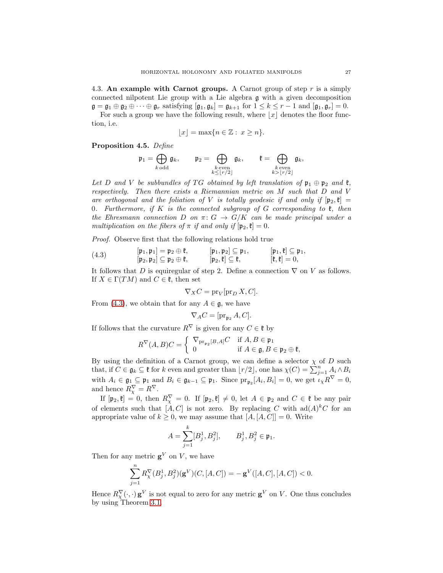<span id="page-26-0"></span>4.3. An example with Carnot groups. A Carnot group of step r is a simply connected nilpotent Lie group with a Lie algebra g with a given decomposition  $\mathfrak{g} = \mathfrak{g}_1 \oplus \mathfrak{g}_2 \oplus \cdots \oplus \mathfrak{g}_r$  satisfying  $[\mathfrak{g}_1, \mathfrak{g}_k] = \mathfrak{g}_{k+1}$  for  $1 \leq k \leq r-1$  and  $[\mathfrak{g}_1, \mathfrak{g}_r] = 0$ . For such a group we have the following result, where  $|x|$  denotes the floor function, i.e.

$$
\lfloor x \rfloor = \max\{n \in \mathbb{Z} : x \ge n\}.
$$

<span id="page-26-2"></span>Proposition 4.5. Define

$$
\mathfrak{p}_1 = \bigoplus_{k \text{ odd}} \mathfrak{g}_k, \qquad \mathfrak{p}_2 = \bigoplus_{\substack{k \text{ even} \\ k \leq \lfloor r/2 \rfloor}} \mathfrak{g}_k, \qquad \mathfrak{k} = \bigoplus_{\substack{k \text{ even} \\ k > \lfloor r/2 \rfloor}} \mathfrak{g}_k,
$$

Let D and V be subbundles of TG obtained by left translation of  $\mathfrak{p}_1 \oplus \mathfrak{p}_2$  and  $\mathfrak{k}$ , respectively. Then there exists a Riemannian metric on M such that D and V are orthogonal and the foliation of V is totally geodesic if and only if  $[p_2, \mathfrak{k}] =$ 0. Furthermore, if K is the connected subgroup of G corresponding to  $\mathfrak{k}$ , then the Ehresmann connection D on  $\pi: G \to G/K$  can be made principal under a multiplication on the fibers of  $\pi$  if and only if  $[\mathfrak{p}_2, \mathfrak{k}] = 0$ .

Proof. Observe first that the following relations hold true

(4.3) 
$$
\begin{array}{ll}\n[\mathfrak{p}_1, \mathfrak{p}_1] = \mathfrak{p}_2 \oplus \mathfrak{k}, & [\mathfrak{p}_1, \mathfrak{p}_2] \subseteq \mathfrak{p}_1, & [\mathfrak{p}_1, \mathfrak{k}] \subseteq \mathfrak{p}_1, \\
[\mathfrak{p}_2, \mathfrak{p}_2] \subseteq \mathfrak{p}_2 \oplus \mathfrak{k}, & [\mathfrak{p}_2, \mathfrak{k}] \subseteq \mathfrak{k}, & [\mathfrak{k}, \mathfrak{k}] = 0,\n\end{array}
$$

It follows that D is equiregular of step 2. Define a connection  $\nabla$  on V as follows. If  $X \in \Gamma(TM)$  and  $C \in \mathfrak{k}$ , then set

<span id="page-26-1"></span>
$$
\nabla_X C = \text{pr}_V[\text{pr}_D X, C].
$$

From [\(4.3\)](#page-26-1), we obtain that for any  $A \in \mathfrak{g}$ , we have

$$
\nabla_A C = [\text{pr}_{\mathfrak{p}_2} A, C].
$$

If follows that the curvature  $R^{\nabla}$  is given for any  $C \in \mathfrak{k}$  by

$$
R^{\nabla}(A,B)C = \begin{cases} \nabla_{\mathrm{pr}_{\mathfrak{p}_2}[B,A]}C & \text{if } A, B \in \mathfrak{p}_1 \\ 0 & \text{if } A \in \mathfrak{g}, B \in \mathfrak{p}_2 \oplus \mathfrak{k}, \end{cases}
$$

By using the definition of a Carnot group, we can define a selector  $\chi$  of D such that, if  $C \in \mathfrak{g}_k \subseteq \mathfrak{k}$  for k even and greater than  $\lfloor r/2 \rfloor$ , one has  $\chi(C) = \sum_{j=1}^n A_i \wedge B_i$ with  $A_i \in \mathfrak{g}_1 \subseteq \mathfrak{p}_1$  and  $B_i \in \mathfrak{g}_{k-1} \subseteq \mathfrak{p}_1$ . Since  $\text{pr}_{\mathfrak{p}_2}[A_i, B_i] = 0$ , we get  $\iota_{\chi} R^{\nabla} = 0$ , and hence  $R_{\chi}^{\nabla} = R^{\nabla}$ .

If  $[\mathfrak{p}_2, \mathfrak{k}] = 0$ , then  $R_\chi^{\nabla} = 0$ . If  $[\mathfrak{p}_2, \mathfrak{k}] \neq 0$ , let  $A \in \mathfrak{p}_2$  and  $C \in \mathfrak{k}$  be any pair of elements such that  $[A, C]$  is not zero. By replacing C with  $ad(A)^kC$  for an appropriate value of  $k \geq 0$ , we may assume that  $[A, [A, C]] = 0$ . Write

$$
A = \sum_{j=1}^{k} [B_j^1, B_j^2], \qquad B_j^1, B_j^2 \in \mathfrak{p}_1.
$$

Then for any metric  $\mathbf{g}^V$  on V, we have

$$
\sum_{j=1}^{n} R_{\chi}^{\nabla} (B_j^1, B_j^2)(\mathbf{g}^V)(C, [A, C]) = -\mathbf{g}^V([A, C], [A, C]) < 0.
$$

Hence  $R_{\chi}^{\nabla}(\cdot,\cdot)$  g<sup>V</sup> is not equal to zero for any metric  $g^V$  on V. One thus concludes by using Theorem [3.1.](#page-17-2)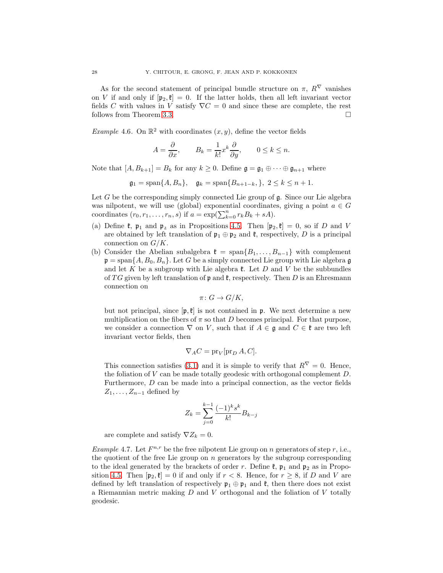As for the second statement of principal bundle structure on  $\pi$ ,  $R^{\nabla}$  vanishes on V if and only if  $[p_2, \ell] = 0$ . If the latter holds, then all left invariant vector fields C with values in V satisfy  $\nabla C = 0$  and since these are complete, the rest follows from Theorem [3.3.](#page-19-0)  $\Box$ 

*Example* 4.6. On  $\mathbb{R}^2$  with coordinates  $(x, y)$ , define the vector fields

$$
A = \frac{\partial}{\partial x}, \qquad B_k = \frac{1}{k!} x^k \frac{\partial}{\partial y}, \qquad 0 \le k \le n.
$$

Note that  $[A, B_{k+1}] = B_k$  for any  $k \geq 0$ . Define  $\mathfrak{g} = \mathfrak{g}_1 \oplus \cdots \oplus \mathfrak{g}_{n+1}$  where

 $\mathfrak{g}_1 = \text{span}\{A, B_n\}, \quad \mathfrak{g}_k = \text{span}\{B_{n+1-k}, \}, \quad 2 \leq k \leq n+1.$ 

Let  $G$  be the corresponding simply connected Lie group of  $\mathfrak g$ . Since our Lie algebra was nilpotent, we will use (global) exponential coordinates, giving a point  $a \in G$ coordinates  $(r_0, r_1, \ldots, r_n, s)$  if  $a = \exp(\sum_{k=0}^n r_k B_k + sA)$ .

- (a) Define  $\mathfrak{k}$ ,  $\mathfrak{p}_1$  and  $\mathfrak{p}_2$  as in Propositions [4.5.](#page-26-2) Then  $[\mathfrak{p}_2, \mathfrak{k}] = 0$ , so if D and V are obtained by left translation of  $\mathfrak{p}_1 \oplus \mathfrak{p}_2$  and  $\mathfrak{k}$ , respectively, D is a principal connection on  $G/K$ .
- (b) Consider the Abelian subalgebra  $\mathfrak{k} = \text{span}\{B_1, \ldots, B_{n-1}\}\$  with complement  $\mathfrak{p} = \text{span}\{A, B_0, B_n\}$ . Let G be a simply connected Lie group with Lie algebra g and let K be a subgroup with Lie algebra  $\mathfrak{k}$ . Let D and V be the subbundles of TG given by left translation of  $\mathfrak p$  and  $\mathfrak k$ , respectively. Then D is an Ehresmann connection on

$$
\pi\colon G\to G/K,
$$

but not principal, since  $[\mathfrak{p}, \mathfrak{k}]$  is not contained in  $\mathfrak{p}$ . We next determine a new multiplication on the fibers of  $\pi$  so that D becomes principal. For that purpose, we consider a connection  $\nabla$  on V, such that if  $A \in \mathfrak{g}$  and  $C \in \mathfrak{k}$  are two left invariant vector fields, then

$$
\nabla_A C = \text{pr}_V[\text{pr}_D A, C].
$$

This connection satisfies [\(3.1\)](#page-16-2) and it is simple to verify that  $R^{\nabla} = 0$ . Hence, the foliation of  $V$  can be made totally geodesic with orthogonal complement  $D$ . Furthermore, D can be made into a principal connection, as the vector fields  $Z_1, \ldots, Z_{n-1}$  defined by

$$
Z_k = \sum_{j=0}^{k-1} \frac{(-1)^k s^k}{k!} B_{k-j}
$$

are complete and satisfy  $\nabla Z_k = 0$ .

*Example* 4.7. Let  $F^{n,r}$  be the free nilpotent Lie group on n generators of step r, i.e., the quotient of the free Lie group on  $n$  generators by the subgroup corresponding to the ideal generated by the brackets of order r. Define  $\mathfrak{k}$ ,  $\mathfrak{p}_1$  and  $\mathfrak{p}_2$  as in Propo-sition [4.5.](#page-26-2) Then  $[\mathfrak{p}_2, \mathfrak{k}] = 0$  if and only if  $r < 8$ . Hence, for  $r > 8$ , if D and V are defined by left translation of respectively  $\mathfrak{p}_1 \oplus \mathfrak{p}_1$  and  $\mathfrak{k}$ , then there does not exist a Riemannian metric making  $D$  and  $V$  orthogonal and the foliation of  $V$  totally geodesic.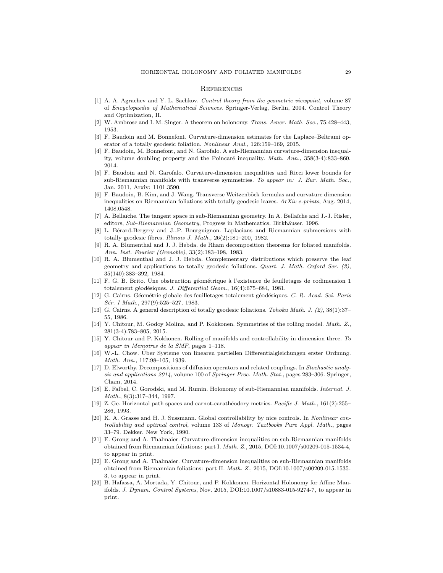### <span id="page-28-0"></span>**REFERENCES**

- <span id="page-28-21"></span>[1] A. A. Agrachev and Y. L. Sachkov. Control theory from the geometric viewpoint, volume 87 of Encyclopaedia of Mathematical Sciences. Springer-Verlag, Berlin, 2004. Control Theory and Optimization, II.
- <span id="page-28-9"></span><span id="page-28-3"></span>[2] W. Ambrose and I. M. Singer. A theorem on holonomy. Trans. Amer. Math. Soc., 75:428–443, 1953.
- [3] F. Baudoin and M. Bonnefont. Curvature-dimension estimates for the Laplace–Beltrami operator of a totally geodesic foliation. Nonlinear Anal., 126:159–169, 2015.
- <span id="page-28-12"></span>[4] F. Baudoin, M. Bonnefont, and N. Garofalo. A sub-Riemannian curvature-dimension inequality, volume doubling property and the Poincaré inequality.  $Math. Ann.$ ,  $358(3-4):833-860$ , 2014.
- <span id="page-28-10"></span>[5] F. Baudoin and N. Garofalo. Curvature-dimension inequalities and Ricci lower bounds for sub-Riemannian manifolds with transverse symmetries. To appear in: J. Eur. Math. Soc., Jan. 2011, Arxiv: 1101.3590.
- <span id="page-28-11"></span>[6] F. Baudoin, B. Kim, and J. Wang. Transverse Weitzenb¨ock formulas and curvature dimension inequalities on Riemannian foliations with totally geodesic leaves. ArXiv e-prints, Aug. 2014, 1408.0548.
- <span id="page-28-18"></span>[7] A. Bellaïche. The tangent space in sub-Riemannian geometry. In A. Bellaïche and J.-J. Risler, editors, Sub-Riemannian Geometry, Progress in Mathematics. Birkhäuser, 1996.
- <span id="page-28-4"></span>[8] L. Bérard-Bergery and J.-P. Bourguignon. Laplacians and Riemannian submersions with totally geodesic fibres. Illinois J. Math., 26(2):181–200, 1982.
- <span id="page-28-15"></span>[9] R. A. Blumenthal and J. J. Hebda. de Rham decomposition theorems for foliated manifolds. Ann. Inst. Fourier (Grenoble), 33(2):183–198, 1983.
- <span id="page-28-16"></span>[10] R. A. Blumenthal and J. J. Hebda. Complementary distributions which preserve the leaf geometry and applications to totally geodesic foliations. Quart. J. Math. Oxford Ser.  $(2)$ , 35(140):383–392, 1984.
- <span id="page-28-6"></span>[11] F. G. B. Brito. Une obstruction géométrique à l'existence de feuilletages de codimension 1 totalement géodésiques. J. Differential Geom., 16(4):675–684, 1981.
- <span id="page-28-1"></span>[12] G. Cairns. Géométrie globale des feuilletages totalement géodésiques. C. R. Acad. Sci. Paris Sér. I Math., 297(9):525-527, 1983.
- <span id="page-28-2"></span>[13] G. Cairns. A general description of totally geodesic foliations. Tohoku Math. J. (2), 38(1):37– 55, 1986.
- <span id="page-28-23"></span>[14] Y. Chitour, M. Godoy Molina, and P. Kokkonen. Symmetries of the rolling model. Math. Z., 281(3-4):783–805, 2015.
- <span id="page-28-22"></span>[15] Y. Chitour and P. Kokkonen. Rolling of manifolds and controllability in dimension three. To appear in Memoires de la SMF, pages 1–118.
- <span id="page-28-20"></span>[16] W.-L. Chow. Über Systeme von linearen partiellen Differentialgleichungen erster Ordnung. Math. Ann., 117:98–105, 1939.
- <span id="page-28-5"></span>[17] D. Elworthy. Decompositions of diffusion operators and related couplings. In Stochastic analysis and applications 2014, volume 100 of Springer Proc. Math. Stat., pages 283–306. Springer, Cham, 2014.
- <span id="page-28-7"></span>[18] E. Falbel, C. Gorodski, and M. Rumin. Holonomy of sub-Riemannian manifolds. Internat. J. Math., 8(3):317–344, 1997.
- <span id="page-28-17"></span>[19] Z. Ge. Horizontal path spaces and carnot-carathéodory metrics. Pacific J. Math., 161(2):255– 286, 1993.
- <span id="page-28-19"></span>[20] K. A. Grasse and H. J. Sussmann. Global controllability by nice controls. In Nonlinear controllability and optimal control, volume 133 of Monogr. Textbooks Pure Appl. Math., pages 33–79. Dekker, New York, 1990.
- <span id="page-28-13"></span>[21] E. Grong and A. Thalmaier. Curvature-dimension inequalities on sub-Riemannian manifolds obtained from Riemannian foliations: part I. Math. Z., 2015, DOI:10.1007/s00209-015-1534-4, to appear in print.
- <span id="page-28-14"></span>[22] E. Grong and A. Thalmaier. Curvature-dimension inequalities on sub-Riemannian manifolds obtained from Riemannian foliations: part II. Math. Z., 2015, DOI:10.1007/s00209-015-1535- 3, to appear in print.
- <span id="page-28-8"></span>[23] B. Hafassa, A. Mortada, Y. Chitour, and P. Kokkonen. Horizontal Holonomy for Affine Manifolds. J. Dynam. Control Systems, Nov. 2015, DOI:10.1007/s10883-015-9274-7, to appear in print.